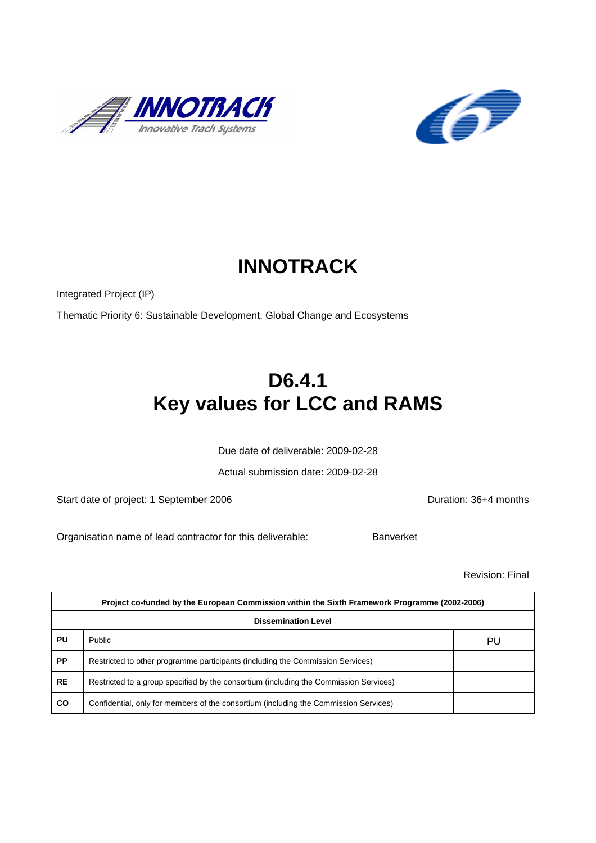



# **INNOTRACK**

Integrated Project (IP)

Thematic Priority 6: Sustainable Development, Global Change and Ecosystems

# **D6.4.1 Key values for LCC and RAMS**

Due date of deliverable: 2009-02-28

Actual submission date: 2009-02-28

Start date of project: 1 September 2006 <br>
Duration: 36+4 months

Organisation name of lead contractor for this deliverable: Banverket

Revision: Final

|           | Project co-funded by the European Commission within the Sixth Framework Programme (2002-2006) |    |  |  |  |
|-----------|-----------------------------------------------------------------------------------------------|----|--|--|--|
|           | <b>Dissemination Level</b>                                                                    |    |  |  |  |
| PU        | Public                                                                                        | PU |  |  |  |
| <b>PP</b> | Restricted to other programme participants (including the Commission Services)                |    |  |  |  |
| <b>RE</b> | Restricted to a group specified by the consortium (including the Commission Services)         |    |  |  |  |
| <b>CO</b> | Confidential, only for members of the consortium (including the Commission Services)          |    |  |  |  |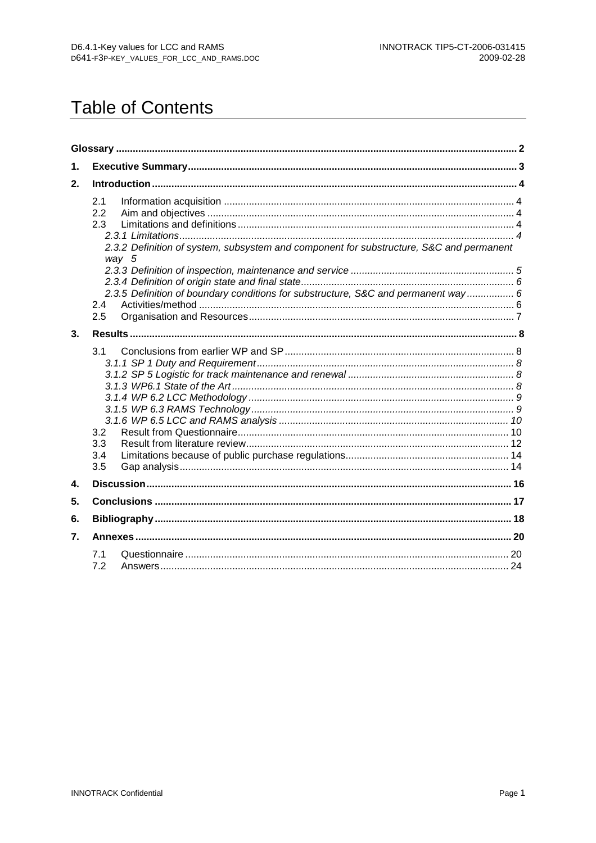# **Table of Contents**

| 1. |                                                                                                                       |  |
|----|-----------------------------------------------------------------------------------------------------------------------|--|
| 2. |                                                                                                                       |  |
|    | 2.1<br>2.2<br>2.3<br>2.3.2 Definition of system, subsystem and component for substructure, S&C and permanent<br>way 5 |  |
|    | 2.3.5 Definition of boundary conditions for substructure, S&C and permanent way  6<br>2.4<br>2.5                      |  |
| 3. |                                                                                                                       |  |
|    | 3.1<br>3.2<br>3.3<br>3.4<br>3.5                                                                                       |  |
| 4. |                                                                                                                       |  |
| 5. |                                                                                                                       |  |
| 6. |                                                                                                                       |  |
| 7. |                                                                                                                       |  |
|    | 7.1<br>7.2                                                                                                            |  |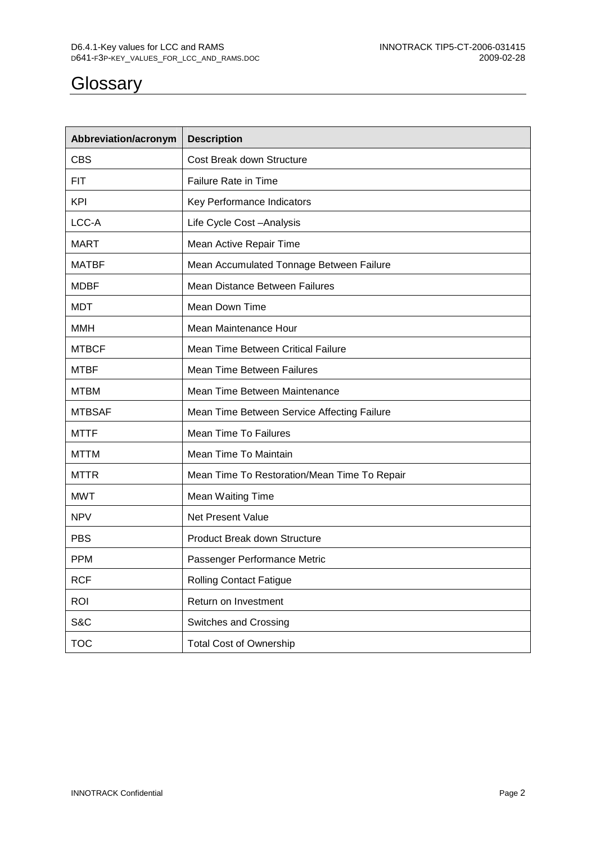# **Glossary**

| Abbreviation/acronym | <b>Description</b>                           |
|----------------------|----------------------------------------------|
| <b>CBS</b>           | Cost Break down Structure                    |
| FIT.                 | Failure Rate in Time                         |
| <b>KPI</b>           | Key Performance Indicators                   |
| LCC-A                | Life Cycle Cost-Analysis                     |
| <b>MART</b>          | Mean Active Repair Time                      |
| <b>MATBF</b>         | Mean Accumulated Tonnage Between Failure     |
| <b>MDBF</b>          | Mean Distance Between Failures               |
| <b>MDT</b>           | Mean Down Time                               |
| <b>MMH</b>           | Mean Maintenance Hour                        |
| <b>MTBCF</b>         | Mean Time Between Critical Failure           |
| <b>MTBF</b>          | Mean Time Between Failures                   |
| <b>MTBM</b>          | Mean Time Between Maintenance                |
| <b>MTBSAF</b>        | Mean Time Between Service Affecting Failure  |
| <b>MTTF</b>          | <b>Mean Time To Failures</b>                 |
| MTTM                 | Mean Time To Maintain                        |
| <b>MTTR</b>          | Mean Time To Restoration/Mean Time To Repair |
| <b>MWT</b>           | Mean Waiting Time                            |
| <b>NPV</b>           | Net Present Value                            |
| <b>PBS</b>           | <b>Product Break down Structure</b>          |
| <b>PPM</b>           | Passenger Performance Metric                 |
| <b>RCF</b>           | <b>Rolling Contact Fatigue</b>               |
| <b>ROI</b>           | Return on Investment                         |
| S&C                  | Switches and Crossing                        |
| <b>TOC</b>           | <b>Total Cost of Ownership</b>               |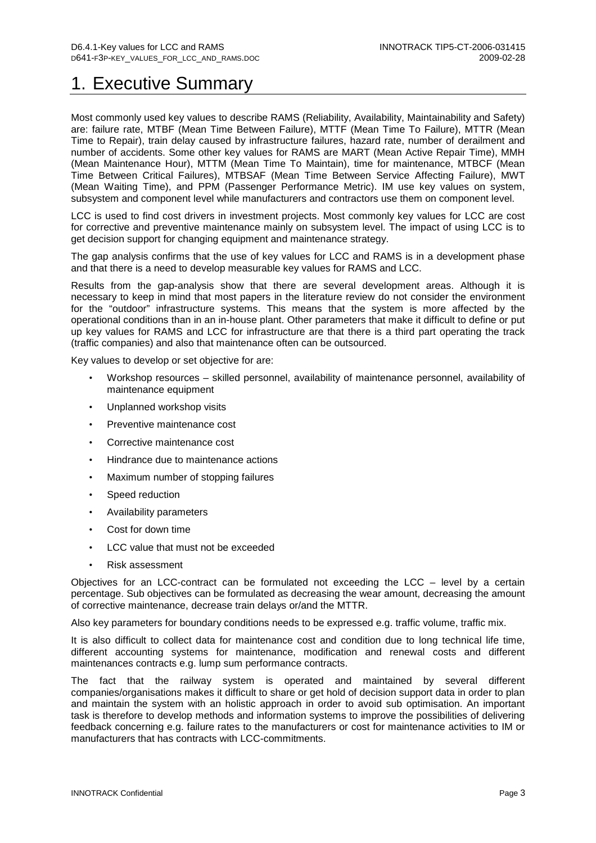# 1. Executive Summary

Most commonly used key values to describe RAMS (Reliability, Availability, Maintainability and Safety) are: failure rate, MTBF (Mean Time Between Failure), MTTF (Mean Time To Failure), MTTR (Mean Time to Repair), train delay caused by infrastructure failures, hazard rate, number of derailment and number of accidents. Some other key values for RAMS are MART (Mean Active Repair Time), MMH (Mean Maintenance Hour), MTTM (Mean Time To Maintain), time for maintenance, MTBCF (Mean Time Between Critical Failures), MTBSAF (Mean Time Between Service Affecting Failure), MWT (Mean Waiting Time), and PPM (Passenger Performance Metric). IM use key values on system, subsystem and component level while manufacturers and contractors use them on component level.

LCC is used to find cost drivers in investment projects. Most commonly key values for LCC are cost for corrective and preventive maintenance mainly on subsystem level. The impact of using LCC is to get decision support for changing equipment and maintenance strategy.

The gap analysis confirms that the use of key values for LCC and RAMS is in a development phase and that there is a need to develop measurable key values for RAMS and LCC.

Results from the gap-analysis show that there are several development areas. Although it is necessary to keep in mind that most papers in the literature review do not consider the environment for the "outdoor" infrastructure systems. This means that the system is more affected by the operational conditions than in an in-house plant. Other parameters that make it difficult to define or put up key values for RAMS and LCC for infrastructure are that there is a third part operating the track (traffic companies) and also that maintenance often can be outsourced.

Key values to develop or set objective for are:

- Workshop resources skilled personnel, availability of maintenance personnel, availability of maintenance equipment
- Unplanned workshop visits
- Preventive maintenance cost
- Corrective maintenance cost
- Hindrance due to maintenance actions
- Maximum number of stopping failures
- Speed reduction
- Availability parameters
- Cost for down time
- LCC value that must not be exceeded
- Risk assessment

Objectives for an LCC-contract can be formulated not exceeding the LCC – level by a certain percentage. Sub objectives can be formulated as decreasing the wear amount, decreasing the amount of corrective maintenance, decrease train delays or/and the MTTR.

Also key parameters for boundary conditions needs to be expressed e.g. traffic volume, traffic mix.

It is also difficult to collect data for maintenance cost and condition due to long technical life time, different accounting systems for maintenance, modification and renewal costs and different maintenances contracts e.g. lump sum performance contracts.

The fact that the railway system is operated and maintained by several different companies/organisations makes it difficult to share or get hold of decision support data in order to plan and maintain the system with an holistic approach in order to avoid sub optimisation. An important task is therefore to develop methods and information systems to improve the possibilities of delivering feedback concerning e.g. failure rates to the manufacturers or cost for maintenance activities to IM or manufacturers that has contracts with LCC-commitments.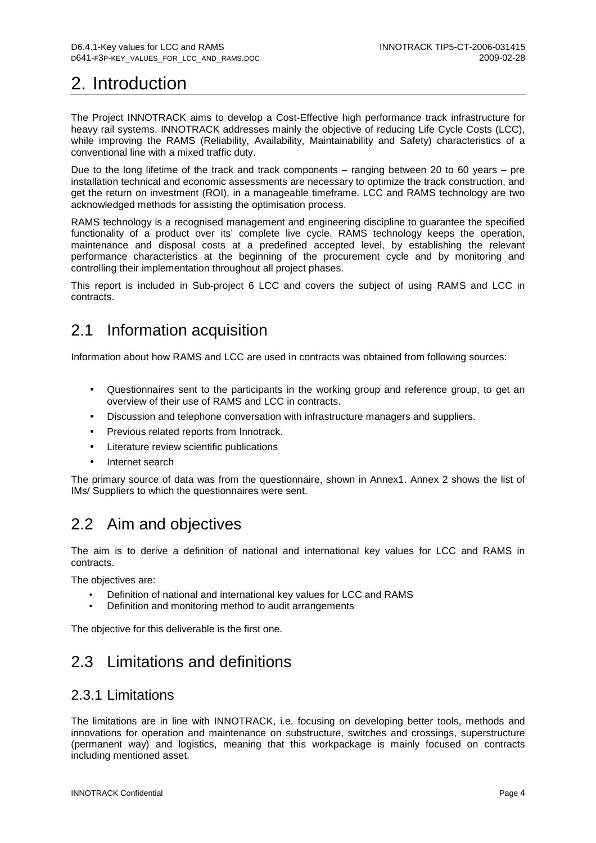# 2. Introduction

The Project INNOTRACK aims to develop a Cost-Effective high performance track infrastructure for heavy rail systems. INNOTRACK addresses mainly the objective of reducing Life Cycle Costs (LCC), while improving the RAMS (Reliability, Availability, Maintainability and Safety) characteristics of a conventional line with a mixed traffic duty.

Due to the long lifetime of the track and track components – ranging between 20 to 60 years – pre installation technical and economic assessments are necessary to optimize the track construction, and get the return on investment (ROI), in a manageable timeframe. LCC and RAMS technology are two acknowledged methods for assisting the optimisation process.

RAMS technology is a recognised management and engineering discipline to guarantee the specified functionality of a product over its' complete live cycle. RAMS technology keeps the operation, maintenance and disposal costs at a predefined accepted level, by establishing the relevant performance characteristics at the beginning of the procurement cycle and by monitoring and controlling their implementation throughout all project phases.

This report is included in Sub-project 6 LCC and covers the subject of using RAMS and LCC in contracts.

# 2.1 Information acquisition

Information about how RAMS and LCC are used in contracts was obtained from following sources:

- Questionnaires sent to the participants in the working group and reference group, to get an overview of their use of RAMS and LCC in contracts.
- Discussion and telephone conversation with infrastructure managers and suppliers.
- Previous related reports from Innotrack.
- Literature review scientific publications
- Internet search

The primary source of data was from the questionnaire, shown in Annex1. Annex 2 shows the list of IMs/ Suppliers to which the questionnaires were sent.

# 2.2 Aim and objectives

The aim is to derive a definition of national and international key values for LCC and RAMS in contracts.

The objectives are:

- Definition of national and international key values for LCC and RAMS
- Definition and monitoring method to audit arrangements

The objective for this deliverable is the first one.

# 2.3 Limitations and definitions

### 2.3.1 Limitations

The limitations are in line with INNOTRACK, i.e. focusing on developing better tools, methods and innovations for operation and maintenance on substructure, switches and crossings, superstructure (permanent way) and logistics, meaning that this workpackage is mainly focused on contracts including mentioned asset.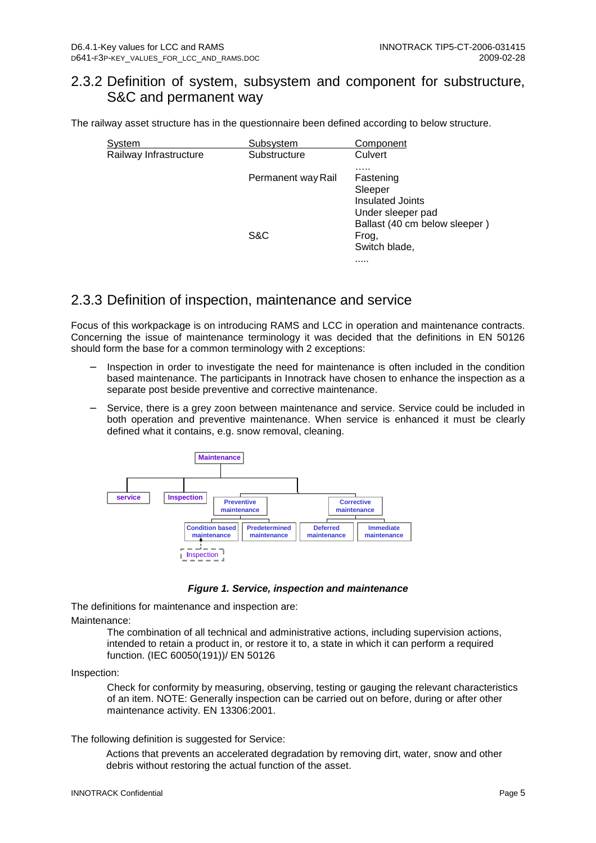### 2.3.2 Definition of system, subsystem and component for substructure, S&C and permanent way

The railway asset structure has in the questionnaire been defined according to below structure.

| System                 | Subsystem          | Component                                                                                             |
|------------------------|--------------------|-------------------------------------------------------------------------------------------------------|
| Railway Infrastructure | Substructure       | Culvert<br>.                                                                                          |
|                        | Permanent way Rail | Fastening<br>Sleeper<br><b>Insulated Joints</b><br>Under sleeper pad<br>Ballast (40 cm below sleeper) |
|                        | S&C                | Frog,<br>Switch blade,<br>                                                                            |

### 2.3.3 Definition of inspection, maintenance and service

Focus of this workpackage is on introducing RAMS and LCC in operation and maintenance contracts. Concerning the issue of maintenance terminology it was decided that the definitions in EN 50126 should form the base for a common terminology with 2 exceptions:

- Inspection in order to investigate the need for maintenance is often included in the condition based maintenance. The participants in Innotrack have chosen to enhance the inspection as a separate post beside preventive and corrective maintenance.
- Service, there is a grey zoon between maintenance and service. Service could be included in both operation and preventive maintenance. When service is enhanced it must be clearly defined what it contains, e.g. snow removal, cleaning.



**Figure 1. Service, inspection and maintenance** 

The definitions for maintenance and inspection are:

Maintenance:

The combination of all technical and administrative actions, including supervision actions, intended to retain a product in, or restore it to, a state in which it can perform a required function. (IEC 60050(191))/ EN 50126

Inspection:

Check for conformity by measuring, observing, testing or gauging the relevant characteristics of an item. NOTE: Generally inspection can be carried out on before, during or after other maintenance activity. EN 13306:2001.

The following definition is suggested for Service:

Actions that prevents an accelerated degradation by removing dirt, water, snow and other debris without restoring the actual function of the asset.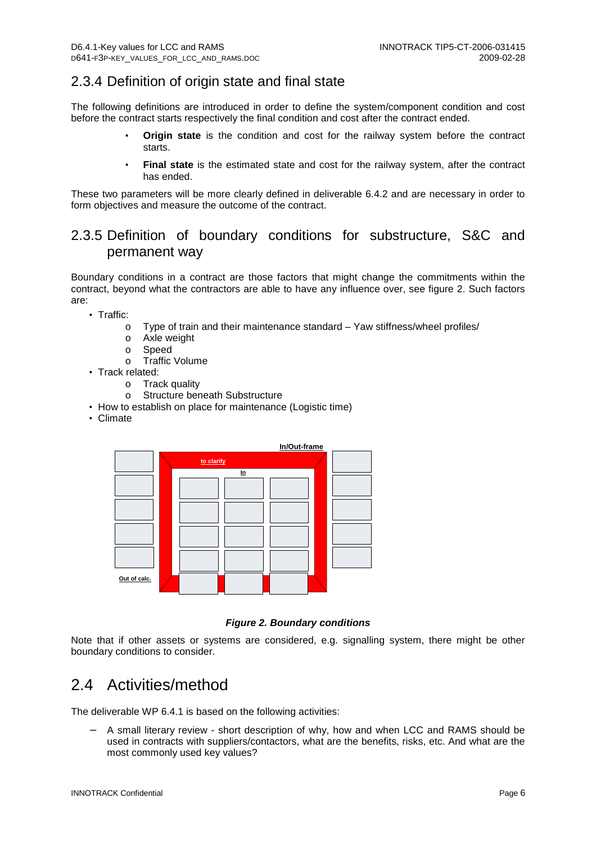### 2.3.4 Definition of origin state and final state

The following definitions are introduced in order to define the system/component condition and cost before the contract starts respectively the final condition and cost after the contract ended.

- **Origin state** is the condition and cost for the railway system before the contract starts.
- **Final state** is the estimated state and cost for the railway system, after the contract has ended.

These two parameters will be more clearly defined in deliverable 6.4.2 and are necessary in order to form objectives and measure the outcome of the contract.

## 2.3.5 Definition of boundary conditions for substructure, S&C and permanent way

Boundary conditions in a contract are those factors that might change the commitments within the contract, beyond what the contractors are able to have any influence over, see figure 2. Such factors are:

• Traffic:

- o Type of train and their maintenance standard Yaw stiffness/wheel profiles/
- o Axle weight
- o Speed
- o Traffic Volume
- Track related:
	- o Track quality
	- o Structure beneath Substructure
- How to establish on place for maintenance (Logistic time)
- Climate



**Figure 2. Boundary conditions** 

Note that if other assets or systems are considered, e.g. signalling system, there might be other boundary conditions to consider.

## 2.4 Activities/method

The deliverable WP 6.4.1 is based on the following activities:

− A small literary review - short description of why, how and when LCC and RAMS should be used in contracts with suppliers/contactors, what are the benefits, risks, etc. And what are the most commonly used key values?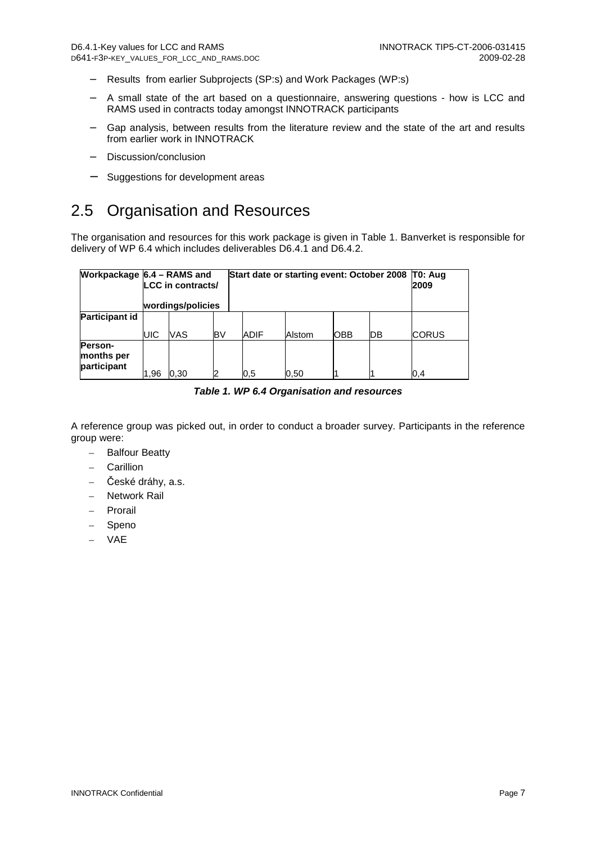- − Results from earlier Subprojects (SP:s) and Work Packages (WP:s)
- − A small state of the art based on a questionnaire, answering questions how is LCC and RAMS used in contracts today amongst INNOTRACK participants
- − Gap analysis, between results from the literature review and the state of the art and results from earlier work in INNOTRACK
- − Discussion/conclusion
- Suggestions for development areas

# 2.5 Organisation and Resources

The organisation and resources for this work package is given in Table 1. Banverket is responsible for delivery of WP 6.4 which includes deliverables D6.4.1 and D6.4.2.

|                                             | Workpackage $6.4$ – RAMS and<br>LCC in contracts/<br>wordings/policies |      |     | Start date or starting event: October 2008 |      |        |            | IT0: Aug<br>2009 |              |
|---------------------------------------------|------------------------------------------------------------------------|------|-----|--------------------------------------------|------|--------|------------|------------------|--------------|
| <b>Participant id</b>                       | UIC                                                                    | VAS  | IB٧ |                                            | ADIF | Alstom | <b>OBB</b> | ŊВ               | <b>CORUS</b> |
| <b>Person-</b><br>months per<br>participant | 1.96                                                                   | 0.30 | 2   |                                            | 0.5  | 0.50   |            |                  | 0,4          |

**Table 1. WP 6.4 Organisation and resources** 

A reference group was picked out, in order to conduct a broader survey. Participants in the reference group were:

- Balfour Beatty
- Carillion
- České dráhy, a.s.
- Network Rail
- **Prorail**
- Speno
- VAE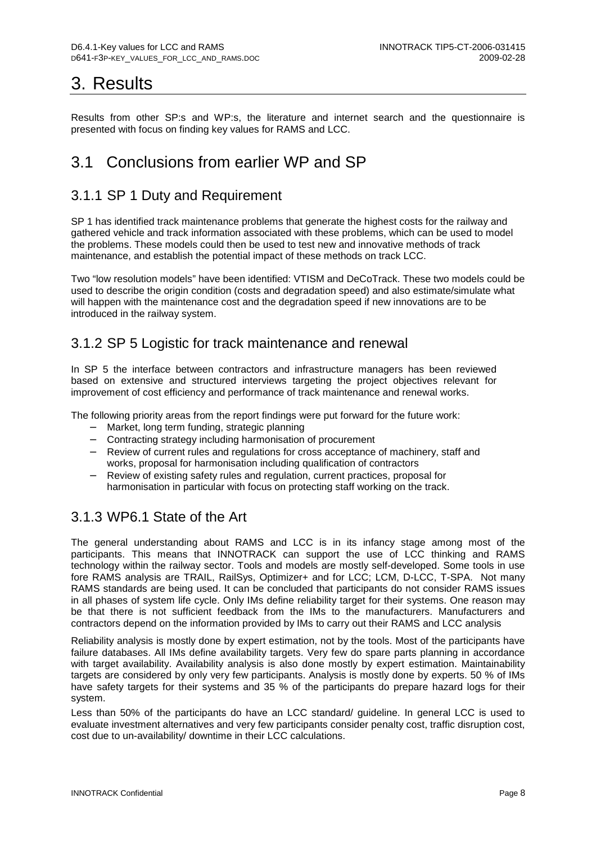# 3. Results

Results from other SP:s and WP:s, the literature and internet search and the questionnaire is presented with focus on finding key values for RAMS and LCC.

# 3.1 Conclusions from earlier WP and SP

## 3.1.1 SP 1 Duty and Requirement

SP 1 has identified track maintenance problems that generate the highest costs for the railway and gathered vehicle and track information associated with these problems, which can be used to model the problems. These models could then be used to test new and innovative methods of track maintenance, and establish the potential impact of these methods on track LCC.

Two "low resolution models" have been identified: VTISM and DeCoTrack. These two models could be used to describe the origin condition (costs and degradation speed) and also estimate/simulate what will happen with the maintenance cost and the degradation speed if new innovations are to be introduced in the railway system.

### 3.1.2 SP 5 Logistic for track maintenance and renewal

In SP 5 the interface between contractors and infrastructure managers has been reviewed based on extensive and structured interviews targeting the project objectives relevant for improvement of cost efficiency and performance of track maintenance and renewal works.

The following priority areas from the report findings were put forward for the future work:

- − Market, long term funding, strategic planning
- − Contracting strategy including harmonisation of procurement
- − Review of current rules and regulations for cross acceptance of machinery, staff and works, proposal for harmonisation including qualification of contractors
- − Review of existing safety rules and regulation, current practices, proposal for harmonisation in particular with focus on protecting staff working on the track.

### 3.1.3 WP6.1 State of the Art

The general understanding about RAMS and LCC is in its infancy stage among most of the participants. This means that INNOTRACK can support the use of LCC thinking and RAMS technology within the railway sector. Tools and models are mostly self-developed. Some tools in use fore RAMS analysis are TRAIL, RailSys, Optimizer+ and for LCC; LCM, D-LCC, T-SPA. Not many RAMS standards are being used. It can be concluded that participants do not consider RAMS issues in all phases of system life cycle. Only IMs define reliability target for their systems. One reason may be that there is not sufficient feedback from the IMs to the manufacturers. Manufacturers and contractors depend on the information provided by IMs to carry out their RAMS and LCC analysis

Reliability analysis is mostly done by expert estimation, not by the tools. Most of the participants have failure databases. All IMs define availability targets. Very few do spare parts planning in accordance with target availability. Availability analysis is also done mostly by expert estimation. Maintainability targets are considered by only very few participants. Analysis is mostly done by experts. 50 % of IMs have safety targets for their systems and 35 % of the participants do prepare hazard logs for their system.

Less than 50% of the participants do have an LCC standard/ guideline. In general LCC is used to evaluate investment alternatives and very few participants consider penalty cost, traffic disruption cost, cost due to un-availability/ downtime in their LCC calculations.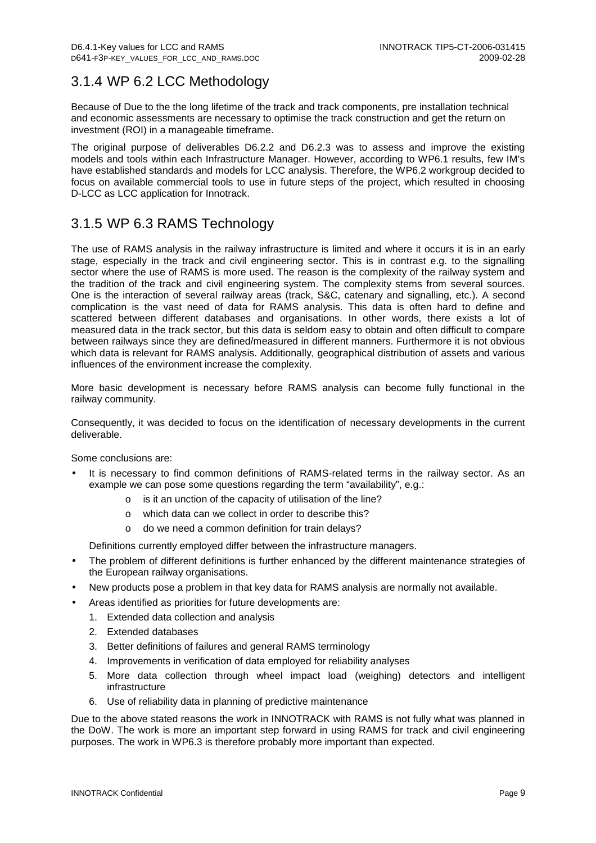## 3.1.4 WP 6.2 LCC Methodology

Because of Due to the the long lifetime of the track and track components, pre installation technical and economic assessments are necessary to optimise the track construction and get the return on investment (ROI) in a manageable timeframe.

The original purpose of deliverables D6.2.2 and D6.2.3 was to assess and improve the existing models and tools within each Infrastructure Manager. However, according to WP6.1 results, few IM's have established standards and models for LCC analysis. Therefore, the WP6.2 workgroup decided to focus on available commercial tools to use in future steps of the project, which resulted in choosing D-LCC as LCC application for Innotrack.

## 3.1.5 WP 6.3 RAMS Technology

The use of RAMS analysis in the railway infrastructure is limited and where it occurs it is in an early stage, especially in the track and civil engineering sector. This is in contrast e.g. to the signalling sector where the use of RAMS is more used. The reason is the complexity of the railway system and the tradition of the track and civil engineering system. The complexity stems from several sources. One is the interaction of several railway areas (track, S&C, catenary and signalling, etc.). A second complication is the vast need of data for RAMS analysis. This data is often hard to define and scattered between different databases and organisations. In other words, there exists a lot of measured data in the track sector, but this data is seldom easy to obtain and often difficult to compare between railways since they are defined/measured in different manners. Furthermore it is not obvious which data is relevant for RAMS analysis. Additionally, geographical distribution of assets and various influences of the environment increase the complexity.

More basic development is necessary before RAMS analysis can become fully functional in the railway community.

Consequently, it was decided to focus on the identification of necessary developments in the current deliverable.

Some conclusions are:

- It is necessary to find common definitions of RAMS-related terms in the railway sector. As an example we can pose some questions regarding the term "availability", e.g.:
	- o is it an unction of the capacity of utilisation of the line?
	- o which data can we collect in order to describe this?
	- o do we need a common definition for train delays?

Definitions currently employed differ between the infrastructure managers.

- The problem of different definitions is further enhanced by the different maintenance strategies of the European railway organisations.
- New products pose a problem in that key data for RAMS analysis are normally not available.
- Areas identified as priorities for future developments are:
	- 1. Extended data collection and analysis
	- 2. Extended databases
	- 3. Better definitions of failures and general RAMS terminology
	- 4. Improvements in verification of data employed for reliability analyses
	- 5. More data collection through wheel impact load (weighing) detectors and intelligent infrastructure
	- 6. Use of reliability data in planning of predictive maintenance

Due to the above stated reasons the work in INNOTRACK with RAMS is not fully what was planned in the DoW. The work is more an important step forward in using RAMS for track and civil engineering purposes. The work in WP6.3 is therefore probably more important than expected.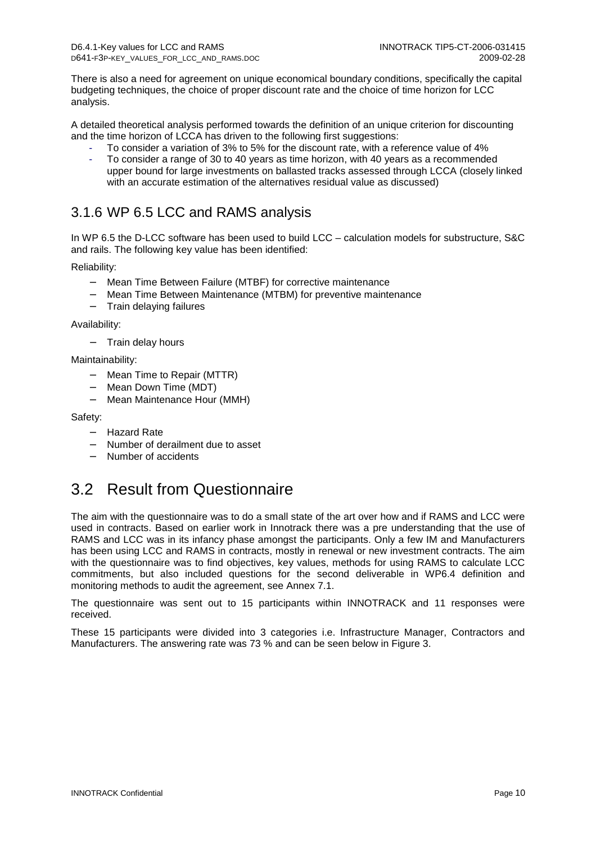There is also a need for agreement on unique economical boundary conditions, specifically the capital budgeting techniques, the choice of proper discount rate and the choice of time horizon for LCC analysis.

A detailed theoretical analysis performed towards the definition of an unique criterion for discounting and the time horizon of LCCA has driven to the following first suggestions:

- To consider a variation of 3% to 5% for the discount rate, with a reference value of 4%
- To consider a range of 30 to 40 years as time horizon, with 40 years as a recommended upper bound for large investments on ballasted tracks assessed through LCCA (closely linked with an accurate estimation of the alternatives residual value as discussed)

### 3.1.6 WP 6.5 LCC and RAMS analysis

In WP 6.5 the D-LCC software has been used to build LCC – calculation models for substructure, S&C and rails. The following key value has been identified:

Reliability:

- − Mean Time Between Failure (MTBF) for corrective maintenance
- − Mean Time Between Maintenance (MTBM) for preventive maintenance
- − Train delaying failures

Availability:

Train delay hours

Maintainability:

- − Mean Time to Repair (MTTR)
- − Mean Down Time (MDT)
- − Mean Maintenance Hour (MMH)

#### Safety:

- − Hazard Rate
- − Number of derailment due to asset
- − Number of accidents

## 3.2 Result from Questionnaire

The aim with the questionnaire was to do a small state of the art over how and if RAMS and LCC were used in contracts. Based on earlier work in Innotrack there was a pre understanding that the use of RAMS and LCC was in its infancy phase amongst the participants. Only a few IM and Manufacturers has been using LCC and RAMS in contracts, mostly in renewal or new investment contracts. The aim with the questionnaire was to find objectives, key values, methods for using RAMS to calculate LCC commitments, but also included questions for the second deliverable in WP6.4 definition and monitoring methods to audit the agreement, see Annex 7.1.

The questionnaire was sent out to 15 participants within INNOTRACK and 11 responses were received.

These 15 participants were divided into 3 categories i.e. Infrastructure Manager, Contractors and Manufacturers. The answering rate was 73 % and can be seen below in Figure 3.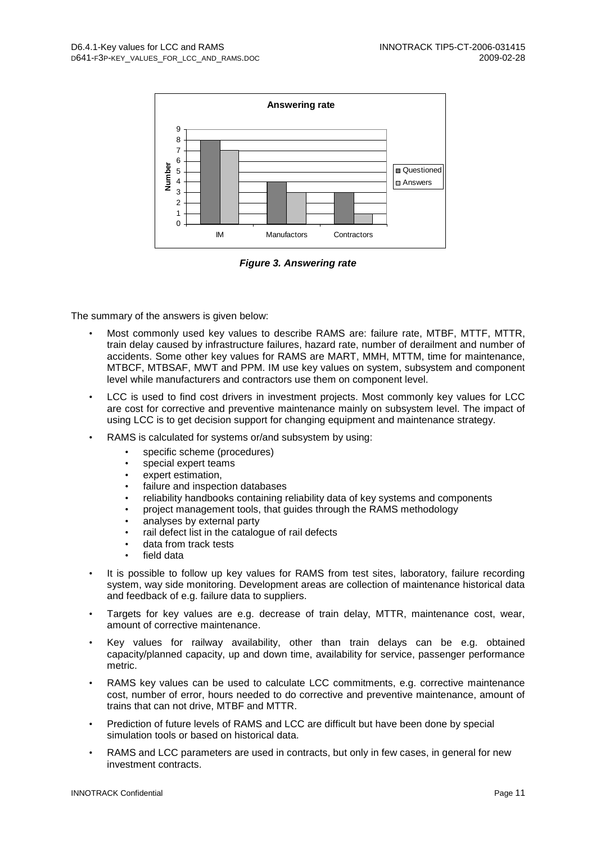

**Figure 3. Answering rate** 

The summary of the answers is given below:

- Most commonly used key values to describe RAMS are: failure rate, MTBF, MTTF, MTTR, train delay caused by infrastructure failures, hazard rate, number of derailment and number of accidents. Some other key values for RAMS are MART, MMH, MTTM, time for maintenance, MTBCF, MTBSAF, MWT and PPM. IM use key values on system, subsystem and component level while manufacturers and contractors use them on component level.
- LCC is used to find cost drivers in investment projects. Most commonly key values for LCC are cost for corrective and preventive maintenance mainly on subsystem level. The impact of using LCC is to get decision support for changing equipment and maintenance strategy.
- RAMS is calculated for systems or/and subsystem by using:
	- specific scheme (procedures)
	- special expert teams
	- expert estimation.
	- failure and inspection databases
	- reliability handbooks containing reliability data of key systems and components
	- project management tools, that guides through the RAMS methodology
	- analyses by external party
	- rail defect list in the catalogue of rail defects
	- data from track tests
	- field data
- It is possible to follow up key values for RAMS from test sites, laboratory, failure recording system, way side monitoring. Development areas are collection of maintenance historical data and feedback of e.g. failure data to suppliers.
- Targets for key values are e.g. decrease of train delay, MTTR, maintenance cost, wear, amount of corrective maintenance.
- Key values for railway availability, other than train delays can be e.g. obtained capacity/planned capacity, up and down time, availability for service, passenger performance metric.
- RAMS key values can be used to calculate LCC commitments, e.g. corrective maintenance cost, number of error, hours needed to do corrective and preventive maintenance, amount of trains that can not drive, MTBF and MTTR.
- Prediction of future levels of RAMS and LCC are difficult but have been done by special simulation tools or based on historical data.
- RAMS and LCC parameters are used in contracts, but only in few cases, in general for new investment contracts.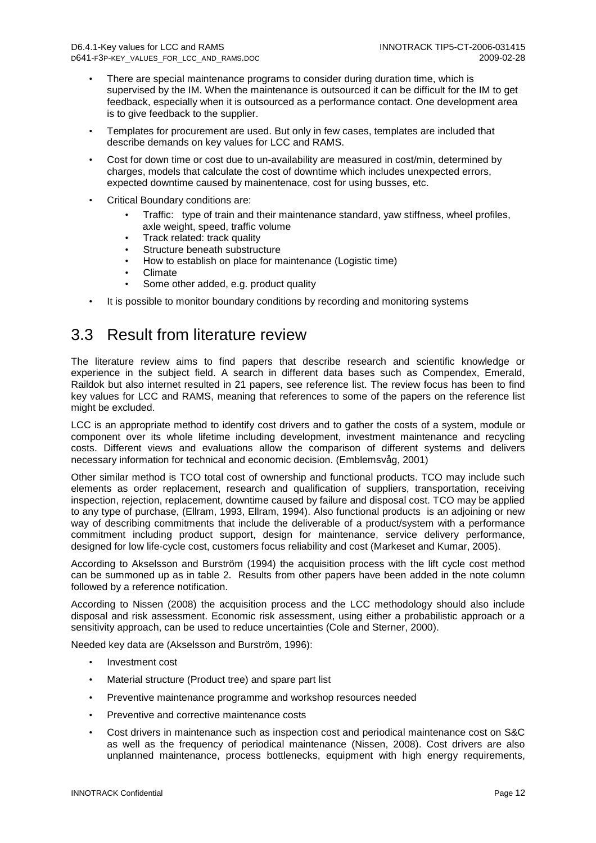- There are special maintenance programs to consider during duration time, which is supervised by the IM. When the maintenance is outsourced it can be difficult for the IM to get feedback, especially when it is outsourced as a performance contact. One development area is to give feedback to the supplier.
- Templates for procurement are used. But only in few cases, templates are included that describe demands on key values for LCC and RAMS.
- Cost for down time or cost due to un-availability are measured in cost/min, determined by charges, models that calculate the cost of downtime which includes unexpected errors, expected downtime caused by mainentenace, cost for using busses, etc.
- Critical Boundary conditions are:
	- Traffic: type of train and their maintenance standard, yaw stiffness, wheel profiles, axle weight, speed, traffic volume
	- Track related: track quality
	- Structure beneath substructure
	- How to establish on place for maintenance (Logistic time)
	- Climate
	- Some other added, e.g. product quality
- It is possible to monitor boundary conditions by recording and monitoring systems

## 3.3 Result from literature review

The literature review aims to find papers that describe research and scientific knowledge or experience in the subject field. A search in different data bases such as Compendex, Emerald, Raildok but also internet resulted in 21 papers, see reference list. The review focus has been to find key values for LCC and RAMS, meaning that references to some of the papers on the reference list might be excluded.

LCC is an appropriate method to identify cost drivers and to gather the costs of a system, module or component over its whole lifetime including development, investment maintenance and recycling costs. Different views and evaluations allow the comparison of different systems and delivers necessary information for technical and economic decision. (Emblemsvåg, 2001)

Other similar method is TCO total cost of ownership and functional products. TCO may include such elements as order replacement, research and qualification of suppliers, transportation, receiving inspection, rejection, replacement, downtime caused by failure and disposal cost. TCO may be applied to any type of purchase, (Ellram, 1993, Ellram, 1994). Also functional products is an adjoining or new way of describing commitments that include the deliverable of a product/system with a performance commitment including product support, design for maintenance, service delivery performance, designed for low life-cycle cost, customers focus reliability and cost (Markeset and Kumar, 2005).

According to Akselsson and Burström (1994) the acquisition process with the lift cycle cost method can be summoned up as in table 2. Results from other papers have been added in the note column followed by a reference notification.

According to Nissen (2008) the acquisition process and the LCC methodology should also include disposal and risk assessment. Economic risk assessment, using either a probabilistic approach or a sensitivity approach, can be used to reduce uncertainties (Cole and Sterner, 2000).

Needed key data are (Akselsson and Burström, 1996):

- Investment cost
- Material structure (Product tree) and spare part list
- Preventive maintenance programme and workshop resources needed
- Preventive and corrective maintenance costs
- Cost drivers in maintenance such as inspection cost and periodical maintenance cost on S&C as well as the frequency of periodical maintenance (Nissen, 2008). Cost drivers are also unplanned maintenance, process bottlenecks, equipment with high energy requirements,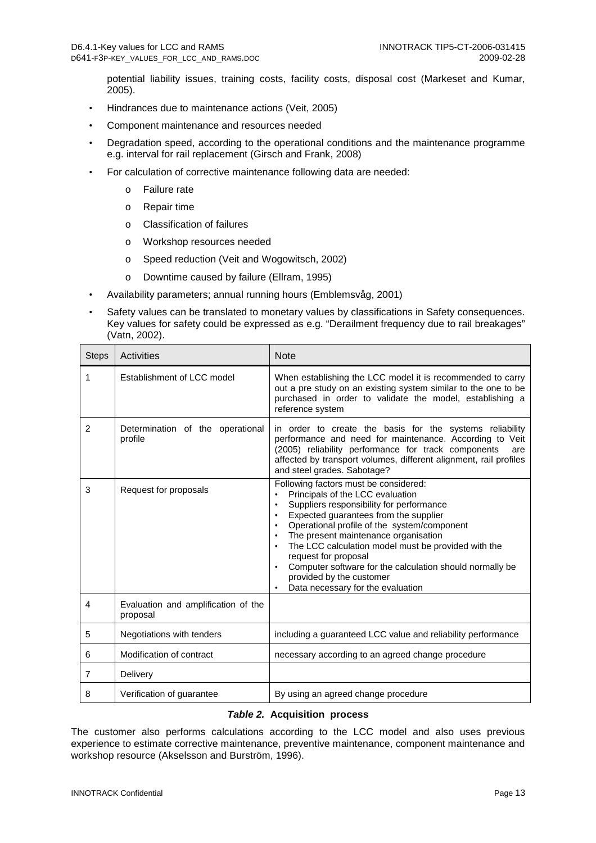potential liability issues, training costs, facility costs, disposal cost (Markeset and Kumar, 2005).

- Hindrances due to maintenance actions (Veit, 2005)
- Component maintenance and resources needed
- Degradation speed, according to the operational conditions and the maintenance programme e.g. interval for rail replacement (Girsch and Frank, 2008)
- For calculation of corrective maintenance following data are needed:
	- o Failure rate
	- o Repair time
	- o Classification of failures
	- o Workshop resources needed
	- o Speed reduction (Veit and Wogowitsch, 2002)
	- o Downtime caused by failure (Ellram, 1995)
- Availability parameters; annual running hours (Emblemsvåg, 2001)
- Safety values can be translated to monetary values by classifications in Safety consequences. Key values for safety could be expressed as e.g. "Derailment frequency due to rail breakages" (Vatn, 2002).

| <b>Steps</b>   | Activities                                      | <b>Note</b>                                                                                                                                                                                                                                                                                                                                                                                                                                                       |  |
|----------------|-------------------------------------------------|-------------------------------------------------------------------------------------------------------------------------------------------------------------------------------------------------------------------------------------------------------------------------------------------------------------------------------------------------------------------------------------------------------------------------------------------------------------------|--|
| 1              | Establishment of LCC model                      | When establishing the LCC model it is recommended to carry<br>out a pre study on an existing system similar to the one to be<br>purchased in order to validate the model, establishing a<br>reference system                                                                                                                                                                                                                                                      |  |
| 2              | Determination of the operational<br>profile     | in order to create the basis for the systems reliability<br>performance and need for maintenance. According to Veit<br>(2005) reliability performance for track components<br>are<br>affected by transport volumes, different alignment, rail profiles<br>and steel grades. Sabotage?                                                                                                                                                                             |  |
| 3              | Request for proposals                           | Following factors must be considered:<br>Principals of the LCC evaluation<br>Suppliers responsibility for performance<br>Expected guarantees from the supplier<br>Operational profile of the system/component<br>The present maintenance organisation<br>The LCC calculation model must be provided with the<br>request for proposal<br>Computer software for the calculation should normally be<br>provided by the customer<br>Data necessary for the evaluation |  |
| 4              | Evaluation and amplification of the<br>proposal |                                                                                                                                                                                                                                                                                                                                                                                                                                                                   |  |
| 5              | Negotiations with tenders                       | including a guaranteed LCC value and reliability performance                                                                                                                                                                                                                                                                                                                                                                                                      |  |
| 6              | Modification of contract                        | necessary according to an agreed change procedure                                                                                                                                                                                                                                                                                                                                                                                                                 |  |
| $\overline{7}$ | Delivery                                        |                                                                                                                                                                                                                                                                                                                                                                                                                                                                   |  |
| 8              | Verification of quarantee                       | By using an agreed change procedure                                                                                                                                                                                                                                                                                                                                                                                                                               |  |

#### **Table 2. Acquisition process**

The customer also performs calculations according to the LCC model and also uses previous experience to estimate corrective maintenance, preventive maintenance, component maintenance and workshop resource (Akselsson and Burström, 1996).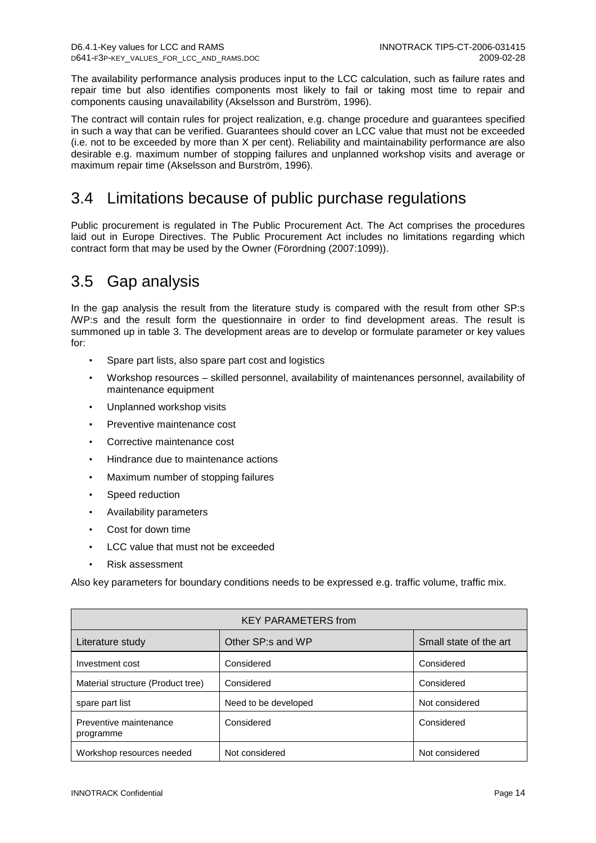The availability performance analysis produces input to the LCC calculation, such as failure rates and repair time but also identifies components most likely to fail or taking most time to repair and components causing unavailability (Akselsson and Burström, 1996).

The contract will contain rules for project realization, e.g. change procedure and guarantees specified in such a way that can be verified. Guarantees should cover an LCC value that must not be exceeded (i.e. not to be exceeded by more than X per cent). Reliability and maintainability performance are also desirable e.g. maximum number of stopping failures and unplanned workshop visits and average or maximum repair time (Akselsson and Burström, 1996).

# 3.4 Limitations because of public purchase regulations

Public procurement is regulated in The Public Procurement Act. The Act comprises the procedures laid out in Europe Directives. The Public Procurement Act includes no limitations regarding which contract form that may be used by the Owner (Förordning (2007:1099)).

## 3.5 Gap analysis

In the gap analysis the result from the literature study is compared with the result from other SP:s /WP:s and the result form the questionnaire in order to find development areas. The result is summoned up in table 3. The development areas are to develop or formulate parameter or key values for:

- Spare part lists, also spare part cost and logistics
- Workshop resources skilled personnel, availability of maintenances personnel, availability of maintenance equipment
- Unplanned workshop visits
- Preventive maintenance cost
- Corrective maintenance cost
- Hindrance due to maintenance actions
- Maximum number of stopping failures
- Speed reduction
- Availability parameters
- Cost for down time
- LCC value that must not be exceeded
- Risk assessment

Also key parameters for boundary conditions needs to be expressed e.g. traffic volume, traffic mix.

| <b>KEY PARAMETERS from</b>          |                      |                        |  |  |  |
|-------------------------------------|----------------------|------------------------|--|--|--|
| Literature study                    | Other SP:s and WP    | Small state of the art |  |  |  |
| Investment cost                     | Considered           | Considered             |  |  |  |
| Material structure (Product tree)   | Considered           | Considered             |  |  |  |
| spare part list                     | Need to be developed | Not considered         |  |  |  |
| Preventive maintenance<br>programme | Considered           | Considered             |  |  |  |
| Workshop resources needed           | Not considered       | Not considered         |  |  |  |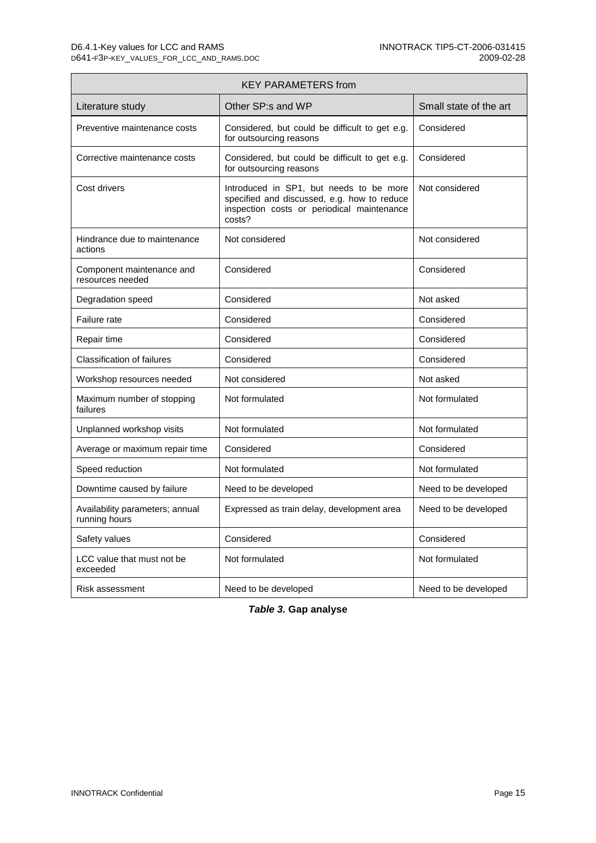$\blacksquare$ 

| <b>KEY PARAMETERS from</b>                       |                                                                                                                                                |                        |  |  |  |
|--------------------------------------------------|------------------------------------------------------------------------------------------------------------------------------------------------|------------------------|--|--|--|
| Literature study                                 | Other SP:s and WP                                                                                                                              | Small state of the art |  |  |  |
| Preventive maintenance costs                     | Considered, but could be difficult to get e.g.<br>for outsourcing reasons                                                                      | Considered             |  |  |  |
| Corrective maintenance costs                     | Considered, but could be difficult to get e.g.<br>for outsourcing reasons                                                                      | Considered             |  |  |  |
| Cost drivers                                     | Introduced in SP1, but needs to be more<br>specified and discussed, e.g. how to reduce<br>inspection costs or periodical maintenance<br>costs? | Not considered         |  |  |  |
| Hindrance due to maintenance<br>actions          | Not considered                                                                                                                                 | Not considered         |  |  |  |
| Component maintenance and<br>resources needed    | Considered                                                                                                                                     | Considered             |  |  |  |
| Degradation speed                                | Considered                                                                                                                                     | Not asked              |  |  |  |
| Failure rate                                     | Considered                                                                                                                                     | Considered             |  |  |  |
| Repair time                                      | Considered                                                                                                                                     | Considered             |  |  |  |
| <b>Classification of failures</b>                | Considered                                                                                                                                     | Considered             |  |  |  |
| Workshop resources needed                        | Not considered                                                                                                                                 | Not asked              |  |  |  |
| Maximum number of stopping<br>failures           | Not formulated                                                                                                                                 | Not formulated         |  |  |  |
| Unplanned workshop visits                        | Not formulated                                                                                                                                 | Not formulated         |  |  |  |
| Average or maximum repair time                   | Considered                                                                                                                                     | Considered             |  |  |  |
| Speed reduction                                  | Not formulated                                                                                                                                 | Not formulated         |  |  |  |
| Downtime caused by failure                       | Need to be developed                                                                                                                           | Need to be developed   |  |  |  |
| Availability parameters; annual<br>running hours | Expressed as train delay, development area                                                                                                     | Need to be developed   |  |  |  |
| Safety values                                    | Considered                                                                                                                                     | Considered             |  |  |  |
| LCC value that must not be<br>exceeded           | Not formulated                                                                                                                                 | Not formulated         |  |  |  |
| Risk assessment                                  | Need to be developed                                                                                                                           | Need to be developed   |  |  |  |

**Table 3. Gap analyse**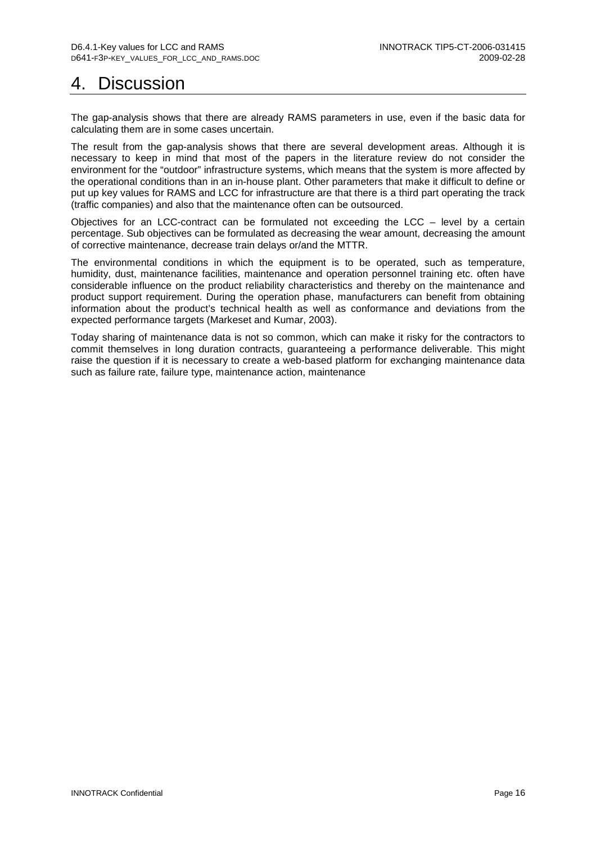# 4. Discussion

The gap-analysis shows that there are already RAMS parameters in use, even if the basic data for calculating them are in some cases uncertain.

The result from the gap-analysis shows that there are several development areas. Although it is necessary to keep in mind that most of the papers in the literature review do not consider the environment for the "outdoor" infrastructure systems, which means that the system is more affected by the operational conditions than in an in-house plant. Other parameters that make it difficult to define or put up key values for RAMS and LCC for infrastructure are that there is a third part operating the track (traffic companies) and also that the maintenance often can be outsourced.

Objectives for an LCC-contract can be formulated not exceeding the LCC – level by a certain percentage. Sub objectives can be formulated as decreasing the wear amount, decreasing the amount of corrective maintenance, decrease train delays or/and the MTTR.

The environmental conditions in which the equipment is to be operated, such as temperature, humidity, dust, maintenance facilities, maintenance and operation personnel training etc. often have considerable influence on the product reliability characteristics and thereby on the maintenance and product support requirement. During the operation phase, manufacturers can benefit from obtaining information about the product's technical health as well as conformance and deviations from the expected performance targets (Markeset and Kumar, 2003).

Today sharing of maintenance data is not so common, which can make it risky for the contractors to commit themselves in long duration contracts, guaranteeing a performance deliverable. This might raise the question if it is necessary to create a web-based platform for exchanging maintenance data such as failure rate, failure type, maintenance action, maintenance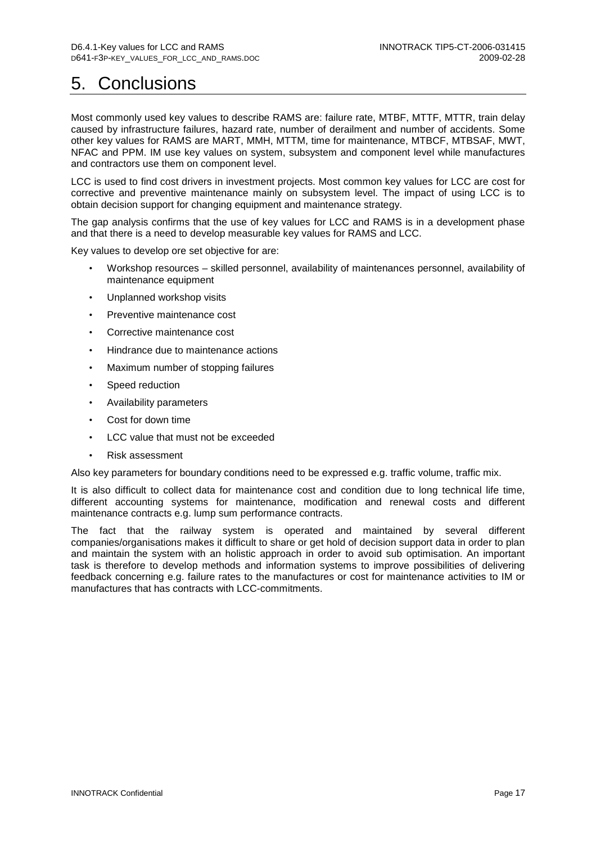# 5. Conclusions

Most commonly used key values to describe RAMS are: failure rate, MTBF, MTTF, MTTR, train delay caused by infrastructure failures, hazard rate, number of derailment and number of accidents. Some other key values for RAMS are MART, MMH, MTTM, time for maintenance, MTBCF, MTBSAF, MWT, NFAC and PPM. IM use key values on system, subsystem and component level while manufactures and contractors use them on component level.

LCC is used to find cost drivers in investment projects. Most common key values for LCC are cost for corrective and preventive maintenance mainly on subsystem level. The impact of using LCC is to obtain decision support for changing equipment and maintenance strategy.

The gap analysis confirms that the use of key values for LCC and RAMS is in a development phase and that there is a need to develop measurable key values for RAMS and LCC.

Key values to develop ore set objective for are:

- Workshop resources skilled personnel, availability of maintenances personnel, availability of maintenance equipment
- Unplanned workshop visits
- Preventive maintenance cost
- Corrective maintenance cost
- Hindrance due to maintenance actions
- Maximum number of stopping failures
- Speed reduction
- Availability parameters
- Cost for down time
- LCC value that must not be exceeded
- Risk assessment

Also key parameters for boundary conditions need to be expressed e.g. traffic volume, traffic mix.

It is also difficult to collect data for maintenance cost and condition due to long technical life time, different accounting systems for maintenance, modification and renewal costs and different maintenance contracts e.g. lump sum performance contracts.

The fact that the railway system is operated and maintained by several different companies/organisations makes it difficult to share or get hold of decision support data in order to plan and maintain the system with an holistic approach in order to avoid sub optimisation. An important task is therefore to develop methods and information systems to improve possibilities of delivering feedback concerning e.g. failure rates to the manufactures or cost for maintenance activities to IM or manufactures that has contracts with LCC-commitments.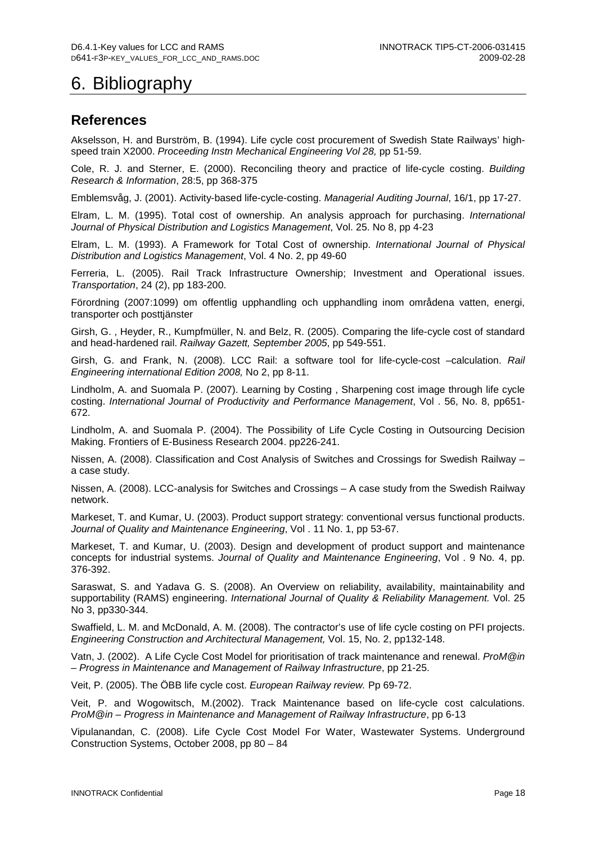# 6. Bibliography

### **References**

Akselsson, H. and Burström, B. (1994). Life cycle cost procurement of Swedish State Railways' highspeed train X2000. Proceeding Instn Mechanical Engineering Vol 28, pp 51-59.

Cole, R. J. and Sterner, E. (2000). Reconciling theory and practice of life-cycle costing. Building Research & Information, 28:5, pp 368-375

Emblemsvåg, J. (2001). Activity-based life-cycle-costing. Managerial Auditing Journal, 16/1, pp 17-27.

Elram, L. M. (1995). Total cost of ownership. An analysis approach for purchasing. International Journal of Physical Distribution and Logistics Management, Vol. 25. No 8, pp 4-23

Elram, L. M. (1993). A Framework for Total Cost of ownership. International Journal of Physical Distribution and Logistics Management, Vol. 4 No. 2, pp 49-60

Ferreria, L. (2005). Rail Track Infrastructure Ownership; Investment and Operational issues. Transportation, 24 (2), pp 183-200.

Förordning (2007:1099) om offentlig upphandling och upphandling inom områdena vatten, energi, transporter och posttjänster

Girsh, G. , Heyder, R., Kumpfmüller, N. and Belz, R. (2005). Comparing the life-cycle cost of standard and head-hardened rail. Railway Gazett, September 2005, pp 549-551.

Girsh, G. and Frank, N. (2008). LCC Rail: a software tool for life-cycle-cost –calculation. Rail Engineering international Edition 2008, No 2, pp 8-11.

Lindholm, A. and Suomala P. (2007). Learning by Costing , Sharpening cost image through life cycle costing. International Journal of Productivity and Performance Management, Vol . 56, No. 8, pp651- 672.

Lindholm, A. and Suomala P. (2004). The Possibility of Life Cycle Costing in Outsourcing Decision Making. Frontiers of E-Business Research 2004. pp226-241.

Nissen, A. (2008). Classification and Cost Analysis of Switches and Crossings for Swedish Railway – a case study.

Nissen, A. (2008). LCC-analysis for Switches and Crossings – A case study from the Swedish Railway network.

Markeset, T. and Kumar, U. (2003). Product support strategy: conventional versus functional products. Journal of Quality and Maintenance Engineering, Vol. 11 No. 1, pp 53-67.

Markeset, T. and Kumar, U. (2003). Design and development of product support and maintenance concepts for industrial systems. Journal of Quality and Maintenance Engineering, Vol . 9 No. 4, pp. 376-392.

Saraswat, S. and Yadava G. S. (2008). An Overview on reliability, availability, maintainability and supportability (RAMS) engineering. International Journal of Quality & Reliability Management. Vol. 25 No 3, pp330-344.

Swaffield, L. M. and McDonald, A. M. (2008). The contractor's use of life cycle costing on PFI projects. Engineering Construction and Architectural Management, Vol. 15, No. 2, pp132-148.

Vatn, J. (2002). A Life Cycle Cost Model for prioritisation of track maintenance and renewal. ProM@in – Progress in Maintenance and Management of Railway Infrastructure, pp 21-25.

Veit, P. (2005). The ÖBB life cycle cost. European Railway review. Pp 69-72.

Veit, P. and Wogowitsch, M.(2002). Track Maintenance based on life-cycle cost calculations. ProM@in – Progress in Maintenance and Management of Railway Infrastructure, pp 6-13

Vipulanandan, C. (2008). Life Cycle Cost Model For Water, Wastewater Systems. Underground Construction Systems, October 2008, pp 80 – 84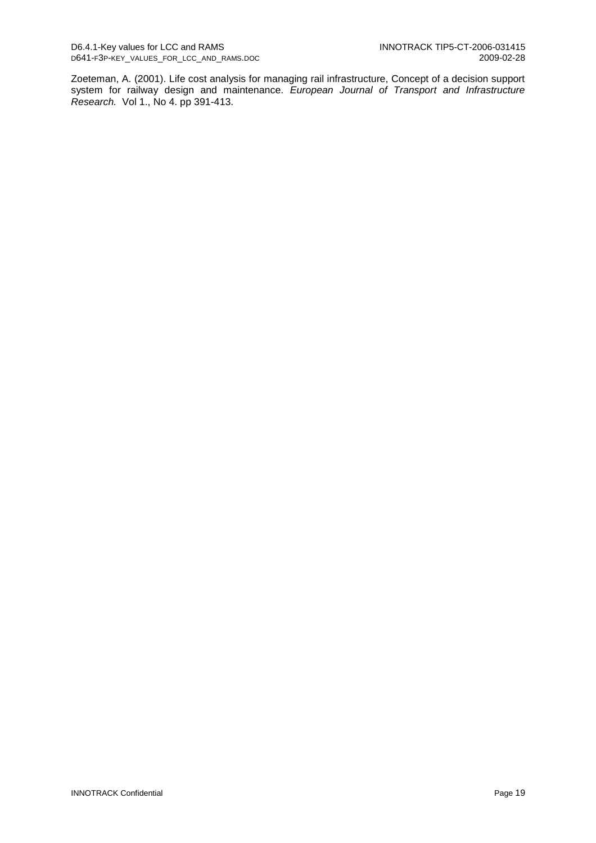Zoeteman, A. (2001). Life cost analysis for managing rail infrastructure, Concept of a decision support system for railway design and maintenance. European Journal of Transport and Infrastructure Research. Vol 1., No 4. pp 391-413.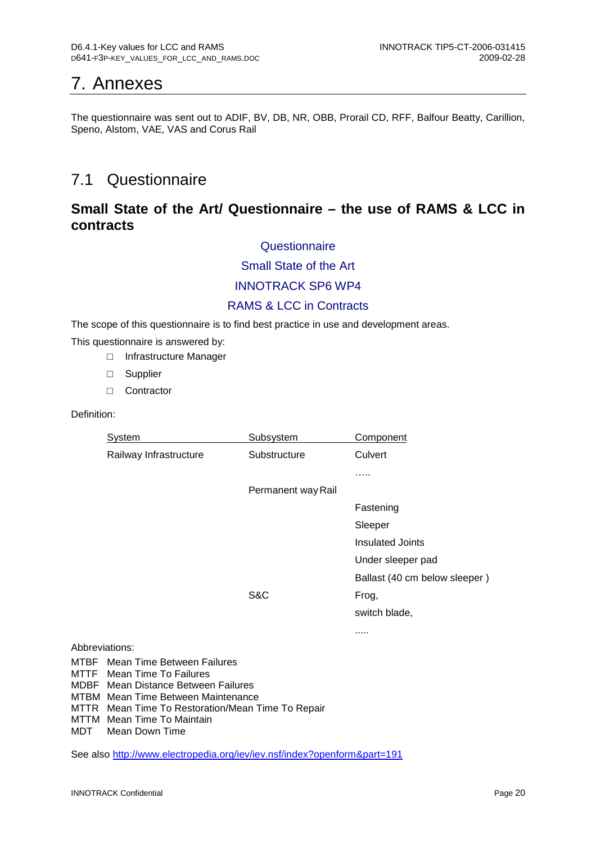# 7. Annexes

The questionnaire was sent out to ADIF, BV, DB, NR, OBB, Prorail CD, RFF, Balfour Beatty, Carillion, Speno, Alstom, VAE, VAS and Corus Rail

# 7.1 Questionnaire

## **Small State of the Art/ Questionnaire – the use of RAMS & LCC in contracts**

### **Questionnaire**

### Small State of the Art

### INNOTRACK SP6 WP4

### RAMS & LCC in Contracts

The scope of this questionnaire is to find best practice in use and development areas.

This questionnaire is answered by:

- □ Infrastructure Manager
- □ Supplier
- □ Contractor

### Definition:

| System                                 | Subsystem          | Component                     |
|----------------------------------------|--------------------|-------------------------------|
| Railway Infrastructure                 | Substructure       | Culvert                       |
|                                        |                    | .                             |
|                                        | Permanent way Rail |                               |
|                                        |                    | Fastening                     |
|                                        |                    | Sleeper                       |
|                                        |                    | <b>Insulated Joints</b>       |
|                                        |                    | Under sleeper pad             |
|                                        |                    | Ballast (40 cm below sleeper) |
|                                        | S&C                | Frog,                         |
|                                        |                    | switch blade,                 |
|                                        |                    |                               |
| Abbreviations:                         |                    |                               |
| <b>MTBF</b> Mean Time Between Failures |                    |                               |

MTTF Mean Time To Failures

MDBF Mean Distance Between Failures

MTBM Mean Time Between Maintenance

MTTR Mean Time To Restoration/Mean Time To Repair

MTTM Mean Time To Maintain<br>MDT Mean Down Time

Mean Down Time

See also http://www.electropedia.org/iev/iev.nsf/index?openform&part=191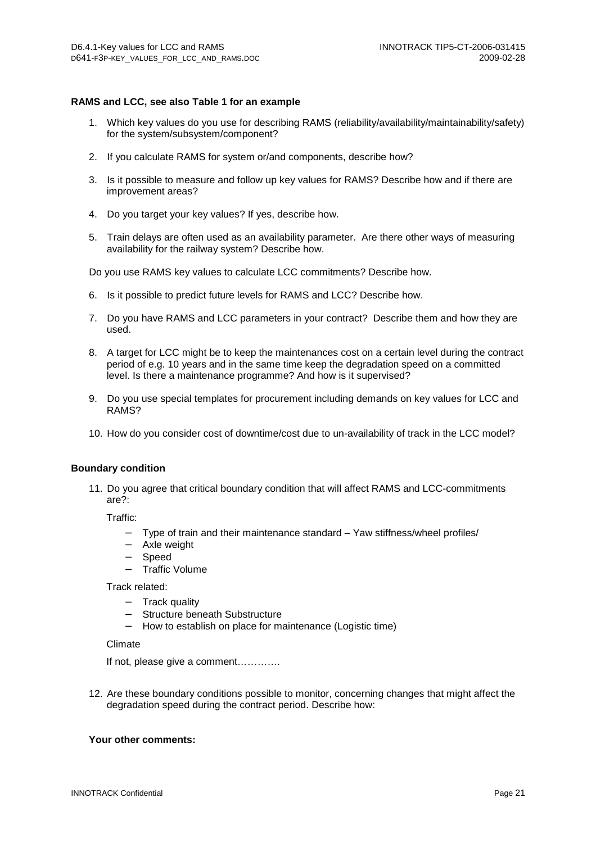#### **RAMS and LCC, see also Table 1 for an example**

- 1. Which key values do you use for describing RAMS (reliability/availability/maintainability/safety) for the system/subsystem/component?
- 2. If you calculate RAMS for system or/and components, describe how?
- 3. Is it possible to measure and follow up key values for RAMS? Describe how and if there are improvement areas?
- 4. Do you target your key values? If yes, describe how.
- 5. Train delays are often used as an availability parameter. Are there other ways of measuring availability for the railway system? Describe how.

Do you use RAMS key values to calculate LCC commitments? Describe how.

- 6. Is it possible to predict future levels for RAMS and LCC? Describe how.
- 7. Do you have RAMS and LCC parameters in your contract? Describe them and how they are used.
- 8. A target for LCC might be to keep the maintenances cost on a certain level during the contract period of e.g. 10 years and in the same time keep the degradation speed on a committed level. Is there a maintenance programme? And how is it supervised?
- 9. Do you use special templates for procurement including demands on key values for LCC and RAMS?
- 10. How do you consider cost of downtime/cost due to un-availability of track in the LCC model?

#### **Boundary condition**

11. Do you agree that critical boundary condition that will affect RAMS and LCC-commitments are?:

Traffic:

- − Type of train and their maintenance standard Yaw stiffness/wheel profiles/
- − Axle weight
- − Speed
- − Traffic Volume

Track related:

- − Track quality
- − Structure beneath Substructure
- − How to establish on place for maintenance (Logistic time)

#### Climate

If not, please give a comment………….

12. Are these boundary conditions possible to monitor, concerning changes that might affect the degradation speed during the contract period. Describe how:

### **Your other comments:**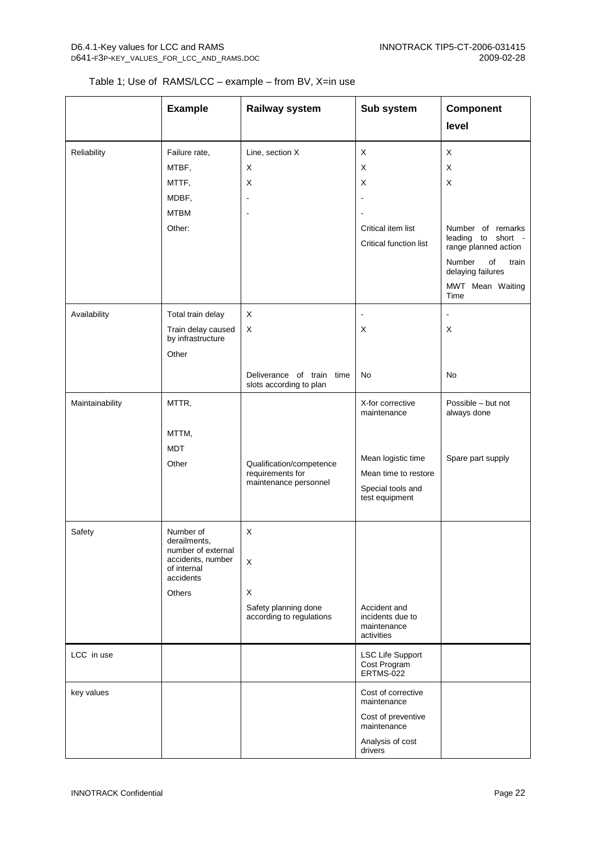### Table 1; Use of RAMS/LCC – example – from BV, X=in use

|                 | <b>Example</b>                          | Railway system                                          | Sub system                                    | Component                                                                   |
|-----------------|-----------------------------------------|---------------------------------------------------------|-----------------------------------------------|-----------------------------------------------------------------------------|
|                 |                                         |                                                         |                                               | level                                                                       |
| Reliability     | Failure rate,                           | Line, section X                                         | X                                             | X                                                                           |
|                 | MTBF,                                   | X                                                       | X                                             | X                                                                           |
|                 | MTTF,                                   | X                                                       | X                                             | X                                                                           |
|                 | MDBF,                                   | $\overline{\phantom{a}}$                                |                                               |                                                                             |
|                 | <b>MTBM</b>                             | $\blacksquare$                                          |                                               |                                                                             |
|                 | Other:                                  |                                                         | Critical item list<br>Critical function list  | Number of remarks<br>leading to short<br>$\sim$ $-$<br>range planned action |
|                 |                                         |                                                         |                                               | Number<br>of<br>train<br>delaying failures                                  |
|                 |                                         |                                                         |                                               | MWT Mean Waiting<br>Time                                                    |
| Availability    | Total train delay                       | X                                                       | $\blacksquare$                                | $\blacksquare$                                                              |
|                 | Train delay caused<br>by infrastructure | $\mathsf X$                                             | X                                             | X                                                                           |
|                 | Other                                   |                                                         |                                               |                                                                             |
|                 |                                         | Deliverance of train<br>time<br>slots according to plan | No                                            | No                                                                          |
| Maintainability | MTTR,                                   |                                                         | X-for corrective<br>maintenance               | Possible - but not<br>always done                                           |
|                 | MTTM,                                   |                                                         |                                               |                                                                             |
|                 | <b>MDT</b>                              |                                                         |                                               |                                                                             |
|                 | Other                                   | Qualification/competence                                | Mean logistic time                            | Spare part supply                                                           |
|                 |                                         | requirements for<br>maintenance personnel               | Mean time to restore                          |                                                                             |
|                 |                                         |                                                         | Special tools and<br>test equipment           |                                                                             |
|                 |                                         |                                                         |                                               |                                                                             |
| Safety          | Number of                               | X                                                       |                                               |                                                                             |
|                 | derailments,<br>number of external      |                                                         |                                               |                                                                             |
|                 | accidents, number<br>of internal        | X                                                       |                                               |                                                                             |
|                 | accidents                               |                                                         |                                               |                                                                             |
|                 | Others                                  | X                                                       |                                               |                                                                             |
|                 |                                         | Safety planning done                                    | Accident and                                  |                                                                             |
|                 |                                         | according to regulations                                | incidents due to<br>maintenance<br>activities |                                                                             |
| LCC in use      |                                         |                                                         | <b>LSC Life Support</b>                       |                                                                             |
|                 |                                         |                                                         | Cost Program<br>ERTMS-022                     |                                                                             |
| key values      |                                         |                                                         | Cost of corrective<br>maintenance             |                                                                             |
|                 |                                         |                                                         | Cost of preventive<br>maintenance             |                                                                             |
|                 |                                         |                                                         | Analysis of cost<br>drivers                   |                                                                             |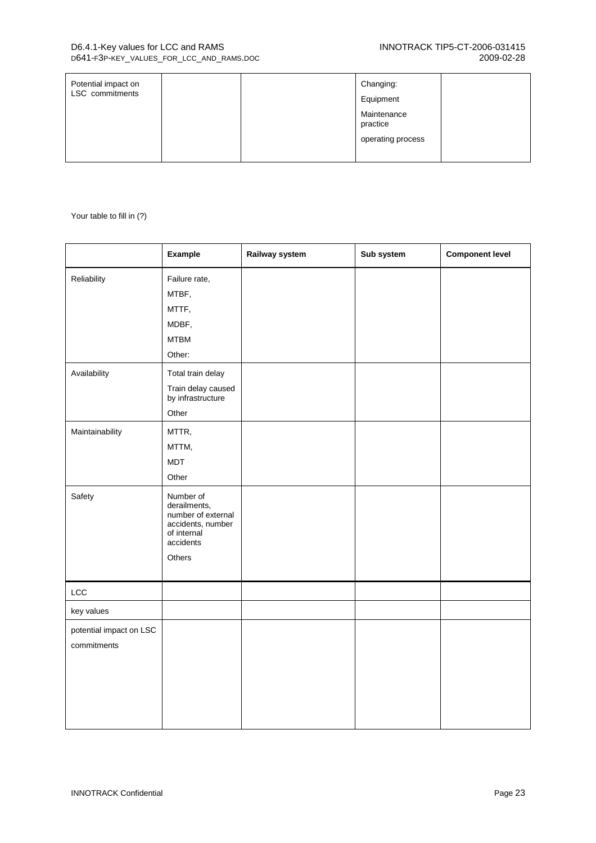| Potential impact on<br><b>LSC</b> commitments |  | Changing:<br>Equipment                       |  |
|-----------------------------------------------|--|----------------------------------------------|--|
|                                               |  | Maintenance<br>practice<br>operating process |  |

Your table to fill in (?)

|                                        | Example                                                                                                    | Railway system | Sub system | <b>Component level</b> |
|----------------------------------------|------------------------------------------------------------------------------------------------------------|----------------|------------|------------------------|
| Reliability                            | Failure rate,<br>MTBF,<br>MTTF,<br>MDBF,<br><b>MTBM</b><br>Other:                                          |                |            |                        |
| Availability                           | Total train delay<br>Train delay caused<br>by infrastructure<br>Other                                      |                |            |                        |
| Maintainability                        | MTTR,<br>MTTM,<br><b>MDT</b><br>Other                                                                      |                |            |                        |
| Safety                                 | Number of<br>derailments,<br>number of external<br>accidents, number<br>of internal<br>accidents<br>Others |                |            |                        |
| LCC                                    |                                                                                                            |                |            |                        |
| key values                             |                                                                                                            |                |            |                        |
| potential impact on LSC<br>commitments |                                                                                                            |                |            |                        |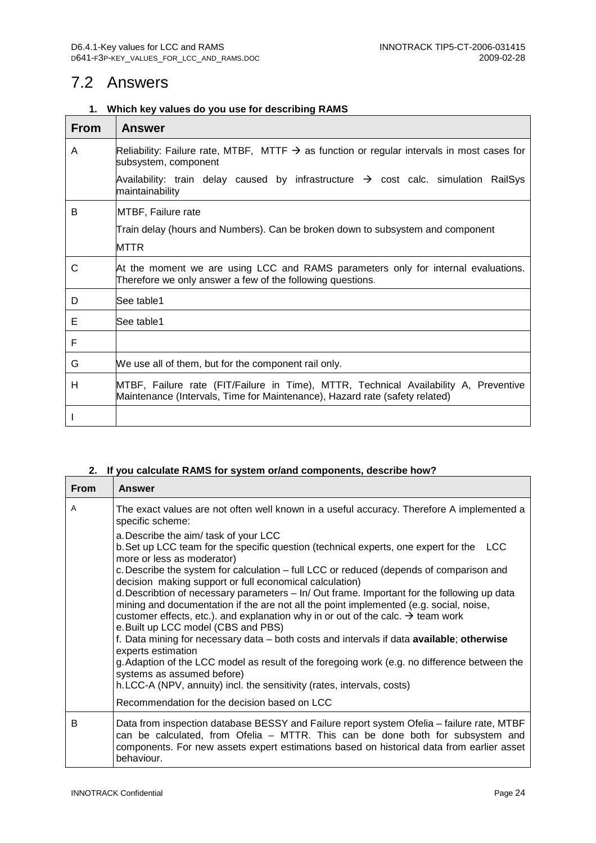## 7.2 Answers

### **1. Which key values do you use for describing RAMS**

| <b>From</b> | <b>Answer</b>                                                                                                                                                       |
|-------------|---------------------------------------------------------------------------------------------------------------------------------------------------------------------|
| A           | Reliability: Failure rate, MTBF, MTTF $\rightarrow$ as function or regular intervals in most cases for<br>subsystem, component                                      |
|             | Availability: train delay caused by infrastructure $\rightarrow$ cost calc. simulation RailSys<br>maintainability                                                   |
| B           | MTBF, Failure rate                                                                                                                                                  |
|             | Train delay (hours and Numbers). Can be broken down to subsystem and component                                                                                      |
|             | MTTR                                                                                                                                                                |
| C           | At the moment we are using LCC and RAMS parameters only for internal evaluations.<br>Therefore we only answer a few of the following questions.                     |
| D           | See table1                                                                                                                                                          |
| Е           | See table1                                                                                                                                                          |
| F           |                                                                                                                                                                     |
| G           | We use all of them, but for the component rail only.                                                                                                                |
| н           | MTBF, Failure rate (FIT/Failure in Time), MTTR, Technical Availability A, Preventive<br>Maintenance (Intervals, Time for Maintenance), Hazard rate (safety related) |
|             |                                                                                                                                                                     |

### **2. If you calculate RAMS for system or/and components, describe how?**

| <b>From</b> | <b>Answer</b>                                                                                                                                                                                                                                                                                                                                                                          |
|-------------|----------------------------------------------------------------------------------------------------------------------------------------------------------------------------------------------------------------------------------------------------------------------------------------------------------------------------------------------------------------------------------------|
| A           | The exact values are not often well known in a useful accuracy. Therefore A implemented a<br>specific scheme:                                                                                                                                                                                                                                                                          |
|             | a. Describe the aim/ task of your LCC<br>b. Set up LCC team for the specific question (technical experts, one expert for the<br><b>LCC</b><br>more or less as moderator)<br>c. Describe the system for calculation – full LCC or reduced (depends of comparison and                                                                                                                    |
|             | decision making support or full economical calculation)<br>d. Describtion of necessary parameters – In/ Out frame. Important for the following up data<br>mining and documentation if the are not all the point implemented (e.g. social, noise,<br>customer effects, etc.). and explanation why in or out of the calc. $\rightarrow$ team work<br>e. Built up LCC model (CBS and PBS) |
|             | f. Data mining for necessary data - both costs and intervals if data available; otherwise<br>experts estimation<br>g. Adaption of the LCC model as result of the foregoing work (e.g. no difference between the<br>systems as assumed before)                                                                                                                                          |
|             | h.LCC-A (NPV, annuity) incl. the sensitivity (rates, intervals, costs)                                                                                                                                                                                                                                                                                                                 |
|             | Recommendation for the decision based on LCC                                                                                                                                                                                                                                                                                                                                           |
| B           | Data from inspection database BESSY and Failure report system Ofelia - failure rate, MTBF<br>can be calculated, from Ofelia – MTTR. This can be done both for subsystem and<br>components. For new assets expert estimations based on historical data from earlier asset<br>behaviour.                                                                                                 |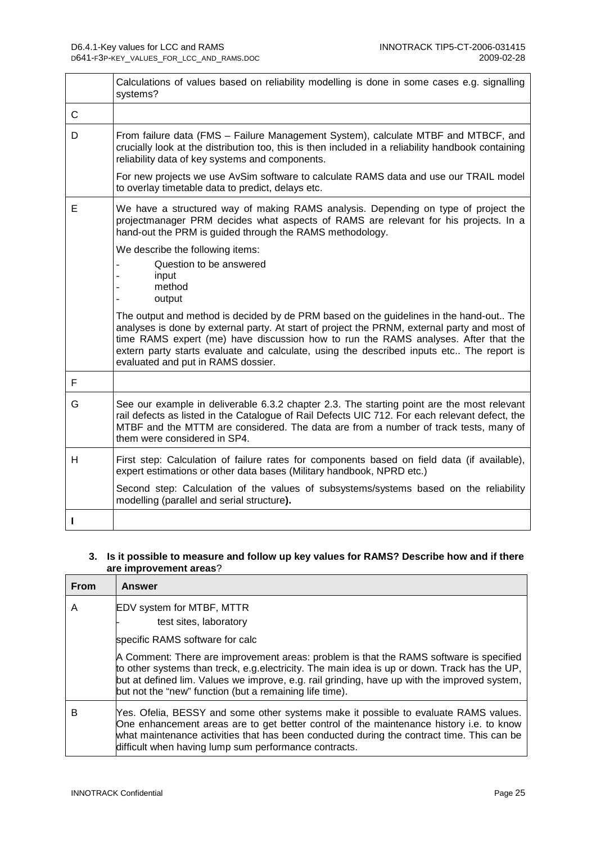|   | Calculations of values based on reliability modelling is done in some cases e.g. signalling<br>systems?                                                                                                                                                                                                                                                                                                        |
|---|----------------------------------------------------------------------------------------------------------------------------------------------------------------------------------------------------------------------------------------------------------------------------------------------------------------------------------------------------------------------------------------------------------------|
| C |                                                                                                                                                                                                                                                                                                                                                                                                                |
| D | From failure data (FMS - Failure Management System), calculate MTBF and MTBCF, and<br>crucially look at the distribution too, this is then included in a reliability handbook containing<br>reliability data of key systems and components.                                                                                                                                                                    |
|   | For new projects we use AvSim software to calculate RAMS data and use our TRAIL model<br>to overlay timetable data to predict, delays etc.                                                                                                                                                                                                                                                                     |
| Е | We have a structured way of making RAMS analysis. Depending on type of project the<br>projectmanager PRM decides what aspects of RAMS are relevant for his projects. In a<br>hand-out the PRM is guided through the RAMS methodology.                                                                                                                                                                          |
|   | We describe the following items:                                                                                                                                                                                                                                                                                                                                                                               |
|   | Question to be answered                                                                                                                                                                                                                                                                                                                                                                                        |
|   | input<br>method                                                                                                                                                                                                                                                                                                                                                                                                |
|   | output                                                                                                                                                                                                                                                                                                                                                                                                         |
|   | The output and method is decided by de PRM based on the guidelines in the hand-out The<br>analyses is done by external party. At start of project the PRNM, external party and most of<br>time RAMS expert (me) have discussion how to run the RAMS analyses. After that the<br>extern party starts evaluate and calculate, using the described inputs etc The report is<br>evaluated and put in RAMS dossier. |
| F |                                                                                                                                                                                                                                                                                                                                                                                                                |
| G | See our example in deliverable 6.3.2 chapter 2.3. The starting point are the most relevant<br>rail defects as listed in the Catalogue of Rail Defects UIC 712. For each relevant defect, the<br>MTBF and the MTTM are considered. The data are from a number of track tests, many of<br>them were considered in SP4.                                                                                           |
| H | First step: Calculation of failure rates for components based on field data (if available),<br>expert estimations or other data bases (Military handbook, NPRD etc.)                                                                                                                                                                                                                                           |
|   | Second step: Calculation of the values of subsystems/systems based on the reliability<br>modelling (parallel and serial structure).                                                                                                                                                                                                                                                                            |
| п |                                                                                                                                                                                                                                                                                                                                                                                                                |

### **3. Is it possible to measure and follow up key values for RAMS? Describe how and if there are improvement areas**?

| From | Answer                                                                                                                                                                                                                                                                                                                                            |
|------|---------------------------------------------------------------------------------------------------------------------------------------------------------------------------------------------------------------------------------------------------------------------------------------------------------------------------------------------------|
| Α    | EDV system for MTBF, MTTR<br>test sites, laboratory                                                                                                                                                                                                                                                                                               |
|      | specific RAMS software for calc                                                                                                                                                                                                                                                                                                                   |
|      | A Comment: There are improvement areas: problem is that the RAMS software is specified<br>to other systems than treck, e.g.electricity. The main idea is up or down. Track has the UP,<br>but at defined lim. Values we improve, e.g. rail grinding, have up with the improved system,<br>but not the "new" function (but a remaining life time). |
| в    | Yes. Ofelia, BESSY and some other systems make it possible to evaluate RAMS values.<br>One enhancement areas are to get better control of the maintenance history i.e. to know<br>what maintenance activities that has been conducted during the contract time. This can be<br>difficult when having lump sum performance contracts.              |

 $\overline{1}$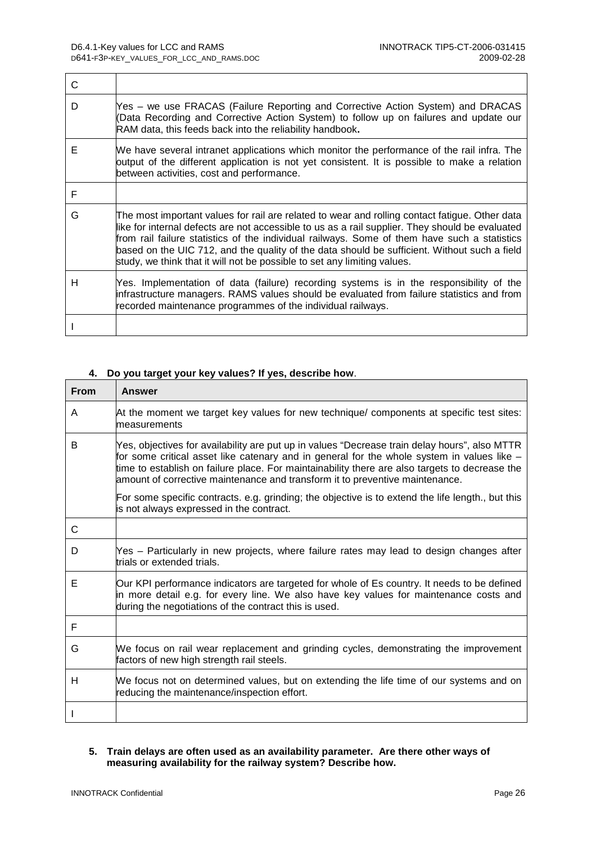$\overline{\phantom{a}}$ 

| C |                                                                                                                                                                                                                                                                                                                                                                                                                                                                               |
|---|-------------------------------------------------------------------------------------------------------------------------------------------------------------------------------------------------------------------------------------------------------------------------------------------------------------------------------------------------------------------------------------------------------------------------------------------------------------------------------|
| D | Yes – we use FRACAS (Failure Reporting and Corrective Action System) and DRACAS<br>(Data Recording and Corrective Action System) to follow up on failures and update our<br>RAM data, this feeds back into the reliability handbook.                                                                                                                                                                                                                                          |
| Е | We have several intranet applications which monitor the performance of the rail infra. The<br>putput of the different application is not yet consistent. It is possible to make a relation<br>between activities, cost and performance.                                                                                                                                                                                                                                       |
| F |                                                                                                                                                                                                                                                                                                                                                                                                                                                                               |
| G | The most important values for rail are related to wear and rolling contact fatigue. Other data<br>like for internal defects are not accessible to us as a rail supplier. They should be evaluated<br>from rail failure statistics of the individual railways. Some of them have such a statistics<br>based on the UIC 712, and the quality of the data should be sufficient. Without such a field<br>study, we think that it will not be possible to set any limiting values. |
| Н | Yes. Implementation of data (failure) recording systems is in the responsibility of the<br>infrastructure managers. RAMS values should be evaluated from failure statistics and from<br>recorded maintenance programmes of the individual railways.                                                                                                                                                                                                                           |
|   |                                                                                                                                                                                                                                                                                                                                                                                                                                                                               |

### **4. Do you target your key values? If yes, describe how**.

| <b>From</b> | <b>Answer</b>                                                                                                                                                                                                                                                                                                                                                                 |
|-------------|-------------------------------------------------------------------------------------------------------------------------------------------------------------------------------------------------------------------------------------------------------------------------------------------------------------------------------------------------------------------------------|
| A           | At the moment we target key values for new technique/ components at specific test sites:<br>measurements                                                                                                                                                                                                                                                                      |
| В           | Yes, objectives for availability are put up in values "Decrease train delay hours", also MTTR<br>for some critical asset like catenary and in general for the whole system in values like -<br>time to establish on failure place. For maintainability there are also targets to decrease the<br>amount of corrective maintenance and transform it to preventive maintenance. |
|             | For some specific contracts. e.g. grinding; the objective is to extend the life length., but this<br>is not always expressed in the contract.                                                                                                                                                                                                                                 |
| С           |                                                                                                                                                                                                                                                                                                                                                                               |
| D           | Yes - Particularly in new projects, where failure rates may lead to design changes after<br>trials or extended trials.                                                                                                                                                                                                                                                        |
| E           | Our KPI performance indicators are targeted for whole of Es country. It needs to be defined<br>in more detail e.g. for every line. We also have key values for maintenance costs and<br>during the negotiations of the contract this is used.                                                                                                                                 |
| F           |                                                                                                                                                                                                                                                                                                                                                                               |
| G           | We focus on rail wear replacement and grinding cycles, demonstrating the improvement<br>factors of new high strength rail steels.                                                                                                                                                                                                                                             |
| н           | We focus not on determined values, but on extending the life time of our systems and on<br>reducing the maintenance/inspection effort.                                                                                                                                                                                                                                        |
|             |                                                                                                                                                                                                                                                                                                                                                                               |

### **5. Train delays are often used as an availability parameter. Are there other ways of measuring availability for the railway system? Describe how.**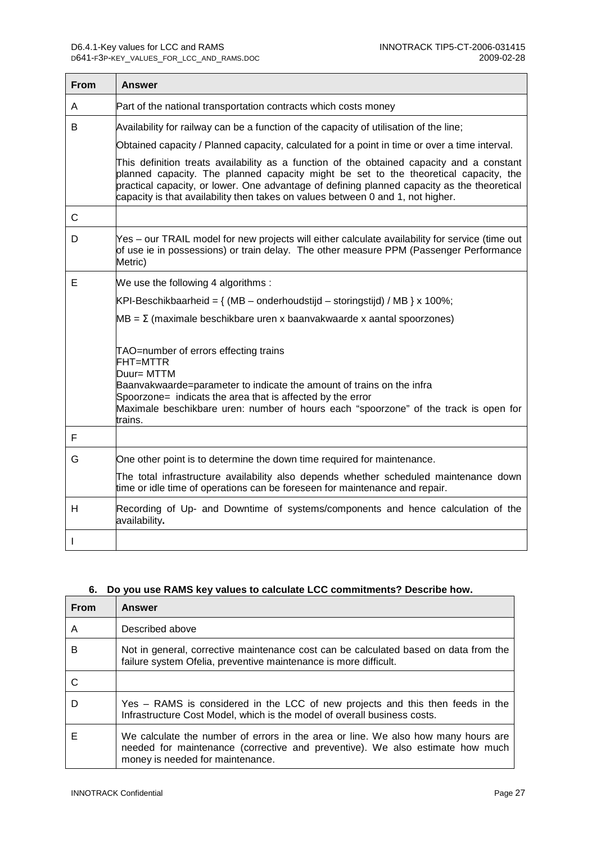$\mathbf{r}$ 

| From | Answer                                                                                                                                                                                                                                                                                                                                                              |
|------|---------------------------------------------------------------------------------------------------------------------------------------------------------------------------------------------------------------------------------------------------------------------------------------------------------------------------------------------------------------------|
| A    | Part of the national transportation contracts which costs money                                                                                                                                                                                                                                                                                                     |
| В    | Availability for railway can be a function of the capacity of utilisation of the line;                                                                                                                                                                                                                                                                              |
|      | Obtained capacity / Planned capacity, calculated for a point in time or over a time interval.                                                                                                                                                                                                                                                                       |
|      | This definition treats availability as a function of the obtained capacity and a constant<br>planned capacity. The planned capacity might be set to the theoretical capacity, the<br>practical capacity, or lower. One advantage of defining planned capacity as the theoretical<br>capacity is that availability then takes on values between 0 and 1, not higher. |
| С    |                                                                                                                                                                                                                                                                                                                                                                     |
| D    | Yes – our TRAIL model for new projects will either calculate availability for service (time out<br>of use ie in possessions) or train delay. The other measure PPM (Passenger Performance<br>Metric)                                                                                                                                                                |
| E.   | We use the following 4 algorithms :                                                                                                                                                                                                                                                                                                                                 |
|      | KPI-Beschikbaarheid = $\{ (MB - onderhoudstijd - storingstijd) / MB \} x 100\%;$                                                                                                                                                                                                                                                                                    |
|      | $MB = \Sigma$ (maximale beschikbare uren x baanvakwaarde x aantal spoorzones)                                                                                                                                                                                                                                                                                       |
|      | TAO=number of errors effecting trains<br>FHT=MTTR<br>Duur= MTTM<br>Baanvakwaarde=parameter to indicate the amount of trains on the infra<br>Spoorzone= indicats the area that is affected by the error<br>Maximale beschikbare uren: number of hours each "spoorzone" of the track is open for                                                                      |
| F    | trains.                                                                                                                                                                                                                                                                                                                                                             |
| G    | One other point is to determine the down time required for maintenance.                                                                                                                                                                                                                                                                                             |
|      | The total infrastructure availability also depends whether scheduled maintenance down<br>time or idle time of operations can be foreseen for maintenance and repair.                                                                                                                                                                                                |
| н    | Recording of Up- and Downtime of systems/components and hence calculation of the<br>availability.                                                                                                                                                                                                                                                                   |
|      |                                                                                                                                                                                                                                                                                                                                                                     |

### **6. Do you use RAMS key values to calculate LCC commitments? Describe how.**

| <b>From</b> | <b>Answer</b>                                                                                                                                                                                          |
|-------------|--------------------------------------------------------------------------------------------------------------------------------------------------------------------------------------------------------|
| A           | Described above                                                                                                                                                                                        |
| B           | Not in general, corrective maintenance cost can be calculated based on data from the<br>failure system Ofelia, preventive maintenance is more difficult.                                               |
| -C          |                                                                                                                                                                                                        |
| D           | Yes – RAMS is considered in the LCC of new projects and this then feeds in the<br>Infrastructure Cost Model, which is the model of overall business costs.                                             |
| F           | We calculate the number of errors in the area or line. We also how many hours are<br>needed for maintenance (corrective and preventive). We also estimate how much<br>money is needed for maintenance. |

 $\mathbb{R}$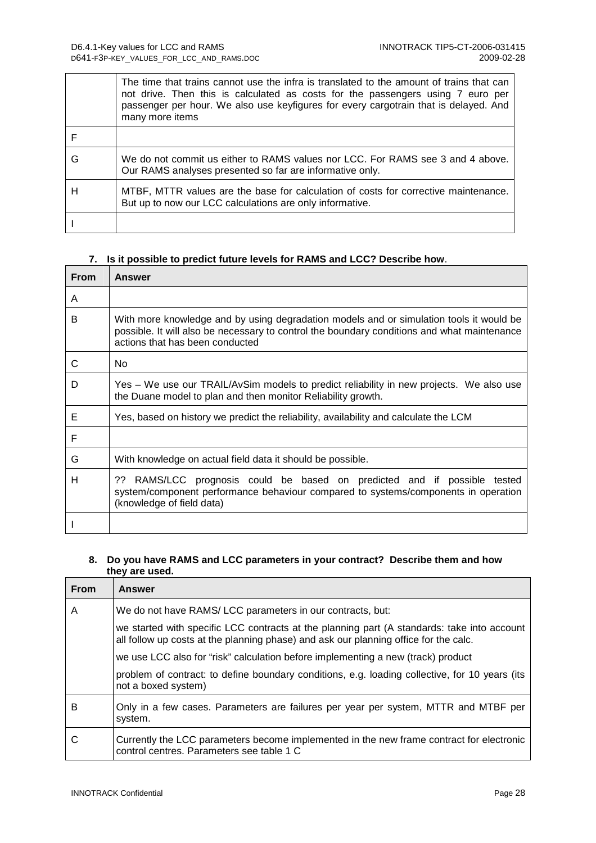|   | The time that trains cannot use the infra is translated to the amount of trains that can<br>not drive. Then this is calculated as costs for the passengers using 7 euro per<br>passenger per hour. We also use keyfigures for every cargotrain that is delayed. And<br>many more items |
|---|----------------------------------------------------------------------------------------------------------------------------------------------------------------------------------------------------------------------------------------------------------------------------------------|
|   |                                                                                                                                                                                                                                                                                        |
| G | We do not commit us either to RAMS values nor LCC. For RAMS see 3 and 4 above.<br>Our RAMS analyses presented so far are informative only.                                                                                                                                             |
| Н | MTBF, MTTR values are the base for calculation of costs for corrective maintenance.<br>But up to now our LCC calculations are only informative.                                                                                                                                        |
|   |                                                                                                                                                                                                                                                                                        |

### **7. Is it possible to predict future levels for RAMS and LCC? Describe how**.

| From | Answer                                                                                                                                                                                                                    |
|------|---------------------------------------------------------------------------------------------------------------------------------------------------------------------------------------------------------------------------|
| A    |                                                                                                                                                                                                                           |
| В    | With more knowledge and by using degradation models and or simulation tools it would be<br>possible. It will also be necessary to control the boundary conditions and what maintenance<br>actions that has been conducted |
| C    | <b>No</b>                                                                                                                                                                                                                 |
| D    | Yes - We use our TRAIL/AvSim models to predict reliability in new projects. We also use<br>the Duane model to plan and then monitor Reliability growth.                                                                   |
| Е    | Yes, based on history we predict the reliability, availability and calculate the LCM                                                                                                                                      |
| F    |                                                                                                                                                                                                                           |
| G    | With knowledge on actual field data it should be possible.                                                                                                                                                                |
| н    | RAMS/LCC prognosis could be based on predicted and if possible<br>??<br>tested<br>system/component performance behaviour compared to systems/components in operation<br>(knowledge of field data)                         |
|      |                                                                                                                                                                                                                           |

### **8. Do you have RAMS and LCC parameters in your contract? Describe them and how they are used.**

| <b>From</b> | <b>Answer</b>                                                                                                                                                                       |
|-------------|-------------------------------------------------------------------------------------------------------------------------------------------------------------------------------------|
| A           | We do not have RAMS/LCC parameters in our contracts, but:                                                                                                                           |
|             | we started with specific LCC contracts at the planning part (A standards: take into account<br>all follow up costs at the planning phase) and ask our planning office for the calc. |
|             | we use LCC also for "risk" calculation before implementing a new (track) product                                                                                                    |
|             | problem of contract: to define boundary conditions, e.g. loading collective, for 10 years (its<br>not a boxed system)                                                               |
| В           | Only in a few cases. Parameters are failures per year per system, MTTR and MTBF per<br>system.                                                                                      |
| C           | Currently the LCC parameters become implemented in the new frame contract for electronic<br>control centres. Parameters see table 1 C                                               |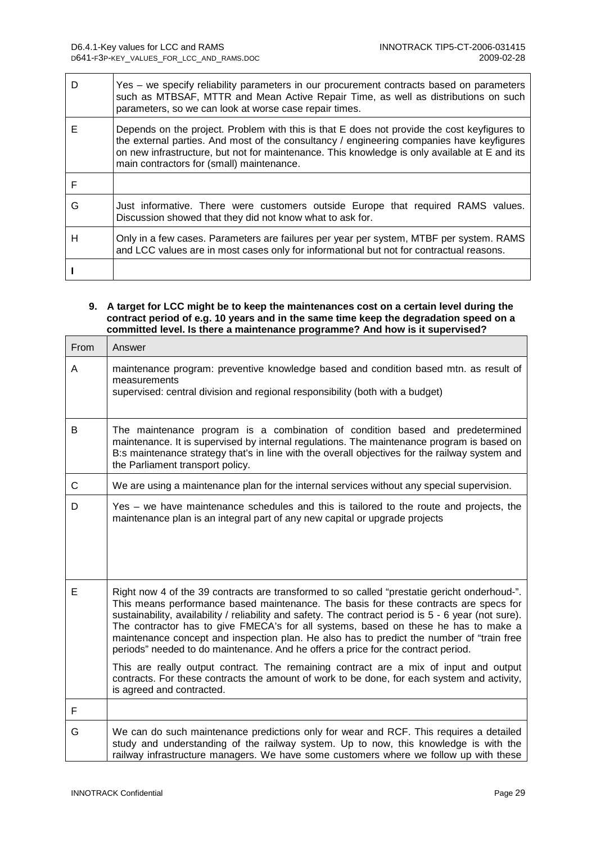$\Gamma$ 

 $\overline{\phantom{0}}$ 

٦

| D | Yes - we specify reliability parameters in our procurement contracts based on parameters<br>such as MTBSAF, MTTR and Mean Active Repair Time, as well as distributions on such<br>parameters, so we can look at worse case repair times.                                                                                               |
|---|----------------------------------------------------------------------------------------------------------------------------------------------------------------------------------------------------------------------------------------------------------------------------------------------------------------------------------------|
| Е | Depends on the project. Problem with this is that E does not provide the cost keyfigures to<br>the external parties. And most of the consultancy / engineering companies have keyfigures<br>on new infrastructure, but not for maintenance. This knowledge is only available at E and its<br>main contractors for (small) maintenance. |
| F |                                                                                                                                                                                                                                                                                                                                        |
| G | Just informative. There were customers outside Europe that required RAMS values.<br>Discussion showed that they did not know what to ask for.                                                                                                                                                                                          |
| н | Only in a few cases. Parameters are failures per year per system, MTBF per system. RAMS<br>and LCC values are in most cases only for informational but not for contractual reasons.                                                                                                                                                    |
|   |                                                                                                                                                                                                                                                                                                                                        |

#### **9. A target for LCC might be to keep the maintenances cost on a certain level during the contract period of e.g. 10 years and in the same time keep the degradation speed on a committed level. Is there a maintenance programme? And how is it supervised?**

| From | Answer                                                                                                                                                                                                                                                                                                                                                                                                                                                                                                                                                                                                                                                                                                                                                                                      |
|------|---------------------------------------------------------------------------------------------------------------------------------------------------------------------------------------------------------------------------------------------------------------------------------------------------------------------------------------------------------------------------------------------------------------------------------------------------------------------------------------------------------------------------------------------------------------------------------------------------------------------------------------------------------------------------------------------------------------------------------------------------------------------------------------------|
| A    | maintenance program: preventive knowledge based and condition based mtn. as result of<br>measurements<br>supervised: central division and regional responsibility (both with a budget)                                                                                                                                                                                                                                                                                                                                                                                                                                                                                                                                                                                                      |
| B    | The maintenance program is a combination of condition based and predetermined<br>maintenance. It is supervised by internal regulations. The maintenance program is based on<br>B:s maintenance strategy that's in line with the overall objectives for the railway system and<br>the Parliament transport policy.                                                                                                                                                                                                                                                                                                                                                                                                                                                                           |
| C    | We are using a maintenance plan for the internal services without any special supervision.                                                                                                                                                                                                                                                                                                                                                                                                                                                                                                                                                                                                                                                                                                  |
| D    | Yes – we have maintenance schedules and this is tailored to the route and projects, the<br>maintenance plan is an integral part of any new capital or upgrade projects                                                                                                                                                                                                                                                                                                                                                                                                                                                                                                                                                                                                                      |
| E    | Right now 4 of the 39 contracts are transformed to so called "prestatie gericht onderhoud-".<br>This means performance based maintenance. The basis for these contracts are specs for<br>sustainability, availability / reliability and safety. The contract period is 5 - 6 year (not sure).<br>The contractor has to give FMECA's for all systems, based on these he has to make a<br>maintenance concept and inspection plan. He also has to predict the number of "train free<br>periods" needed to do maintenance. And he offers a price for the contract period.<br>This are really output contract. The remaining contract are a mix of input and output<br>contracts. For these contracts the amount of work to be done, for each system and activity,<br>is agreed and contracted. |
| F    |                                                                                                                                                                                                                                                                                                                                                                                                                                                                                                                                                                                                                                                                                                                                                                                             |
| G    | We can do such maintenance predictions only for wear and RCF. This requires a detailed<br>study and understanding of the railway system. Up to now, this knowledge is with the<br>railway infrastructure managers. We have some customers where we follow up with these                                                                                                                                                                                                                                                                                                                                                                                                                                                                                                                     |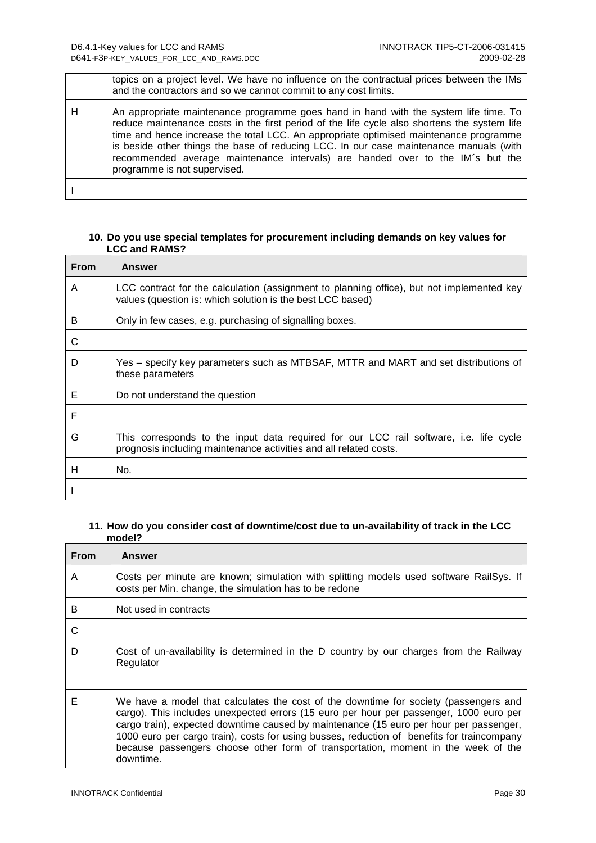|   | topics on a project level. We have no influence on the contractual prices between the IMs<br>and the contractors and so we cannot commit to any cost limits.                                                                                                                                                                                                                                                                                                                              |
|---|-------------------------------------------------------------------------------------------------------------------------------------------------------------------------------------------------------------------------------------------------------------------------------------------------------------------------------------------------------------------------------------------------------------------------------------------------------------------------------------------|
| н | An appropriate maintenance programme goes hand in hand with the system life time. To<br>reduce maintenance costs in the first period of the life cycle also shortens the system life<br>time and hence increase the total LCC. An appropriate optimised maintenance programme<br>is beside other things the base of reducing LCC. In our case maintenance manuals (with<br>recommended average maintenance intervals) are handed over to the IM's but the<br>programme is not supervised. |
|   |                                                                                                                                                                                                                                                                                                                                                                                                                                                                                           |

### **10. Do you use special templates for procurement including demands on key values for LCC and RAMS?**

| <b>From</b> | Answer                                                                                                                                                      |
|-------------|-------------------------------------------------------------------------------------------------------------------------------------------------------------|
| Α           | LCC contract for the calculation (assignment to planning office), but not implemented key<br>values (question is: which solution is the best LCC based)     |
| B           | Only in few cases, e.g. purchasing of signalling boxes.                                                                                                     |
| C           |                                                                                                                                                             |
| D           | Yes – specify key parameters such as MTBSAF, MTTR and MART and set distributions of<br>these parameters                                                     |
| Е           | Do not understand the question                                                                                                                              |
| F           |                                                                                                                                                             |
| G           | This corresponds to the input data required for our LCC rail software, i.e. life cycle<br>prognosis including maintenance activities and all related costs. |
| н           | No.                                                                                                                                                         |
|             |                                                                                                                                                             |

#### **11. How do you consider cost of downtime/cost due to un-availability of track in the LCC model?**

| <b>From</b> | Answer                                                                                                                                                                                                                                                                                                                                                                                                                                                                   |
|-------------|--------------------------------------------------------------------------------------------------------------------------------------------------------------------------------------------------------------------------------------------------------------------------------------------------------------------------------------------------------------------------------------------------------------------------------------------------------------------------|
| A           | Costs per minute are known; simulation with splitting models used software RailSys. If<br>costs per Min. change, the simulation has to be redone                                                                                                                                                                                                                                                                                                                         |
| В           | Not used in contracts                                                                                                                                                                                                                                                                                                                                                                                                                                                    |
| C           |                                                                                                                                                                                                                                                                                                                                                                                                                                                                          |
| D           | Cost of un-availability is determined in the D country by our charges from the Railway<br>Regulator                                                                                                                                                                                                                                                                                                                                                                      |
| Е           | We have a model that calculates the cost of the downtime for society (passengers and<br>cargo). This includes unexpected errors (15 euro per hour per passenger, 1000 euro per<br>cargo train), expected downtime caused by maintenance (15 euro per hour per passenger,<br>1000 euro per cargo train), costs for using busses, reduction of benefits for traincompany<br>because passengers choose other form of transportation, moment in the week of the<br>downtime. |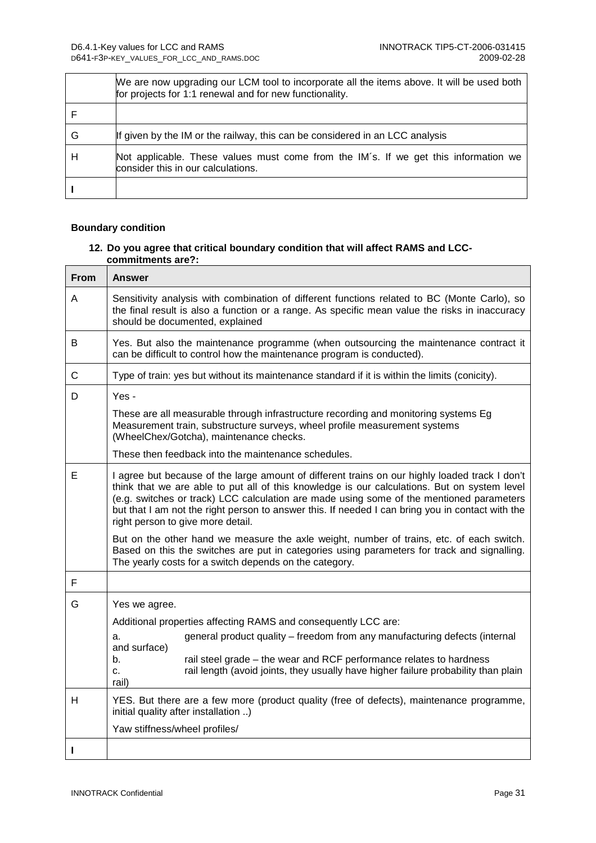|   | We are now upgrading our LCM tool to incorporate all the items above. It will be used both<br>for projects for 1:1 renewal and for new functionality. |
|---|-------------------------------------------------------------------------------------------------------------------------------------------------------|
|   |                                                                                                                                                       |
| G | If given by the IM or the railway, this can be considered in an LCC analysis                                                                          |
| Н | Not applicable. These values must come from the IM's. If we get this information we<br>consider this in our calculations.                             |
|   |                                                                                                                                                       |

### **Boundary condition**

 $\overline{1}$ 

### **12. Do you agree that critical boundary condition that will affect RAMS and LCCcommitments are?:**

| <b>From</b> | Answer                                                                                                                                                                                                                                                                                                                                                                                                                              |  |  |  |  |  |
|-------------|-------------------------------------------------------------------------------------------------------------------------------------------------------------------------------------------------------------------------------------------------------------------------------------------------------------------------------------------------------------------------------------------------------------------------------------|--|--|--|--|--|
| A           | Sensitivity analysis with combination of different functions related to BC (Monte Carlo), so<br>the final result is also a function or a range. As specific mean value the risks in inaccuracy<br>should be documented, explained                                                                                                                                                                                                   |  |  |  |  |  |
| B           | Yes. But also the maintenance programme (when outsourcing the maintenance contract it<br>can be difficult to control how the maintenance program is conducted).                                                                                                                                                                                                                                                                     |  |  |  |  |  |
| $\mathsf C$ | Type of train: yes but without its maintenance standard if it is within the limits (conicity).                                                                                                                                                                                                                                                                                                                                      |  |  |  |  |  |
| D           | Yes -<br>These are all measurable through infrastructure recording and monitoring systems Eg<br>Measurement train, substructure surveys, wheel profile measurement systems<br>(WheelChex/Gotcha), maintenance checks.<br>These then feedback into the maintenance schedules.                                                                                                                                                        |  |  |  |  |  |
| Е           | I agree but because of the large amount of different trains on our highly loaded track I don't<br>think that we are able to put all of this knowledge is our calculations. But on system level<br>(e.g. switches or track) LCC calculation are made using some of the mentioned parameters<br>but that I am not the right person to answer this. If needed I can bring you in contact with the<br>right person to give more detail. |  |  |  |  |  |
|             | But on the other hand we measure the axle weight, number of trains, etc. of each switch.<br>Based on this the switches are put in categories using parameters for track and signalling.<br>The yearly costs for a switch depends on the category.                                                                                                                                                                                   |  |  |  |  |  |
| F           |                                                                                                                                                                                                                                                                                                                                                                                                                                     |  |  |  |  |  |
| G           | Yes we agree.<br>Additional properties affecting RAMS and consequently LCC are:<br>general product quality – freedom from any manufacturing defects (internal<br>a.<br>and surface)<br>rail steel grade - the wear and RCF performance relates to hardness<br>b.<br>rail length (avoid joints, they usually have higher failure probability than plain<br>c.<br>rail)                                                               |  |  |  |  |  |
| H           | YES. But there are a few more (product quality (free of defects), maintenance programme,<br>initial quality after installation )<br>Yaw stiffness/wheel profiles/                                                                                                                                                                                                                                                                   |  |  |  |  |  |
| I           |                                                                                                                                                                                                                                                                                                                                                                                                                                     |  |  |  |  |  |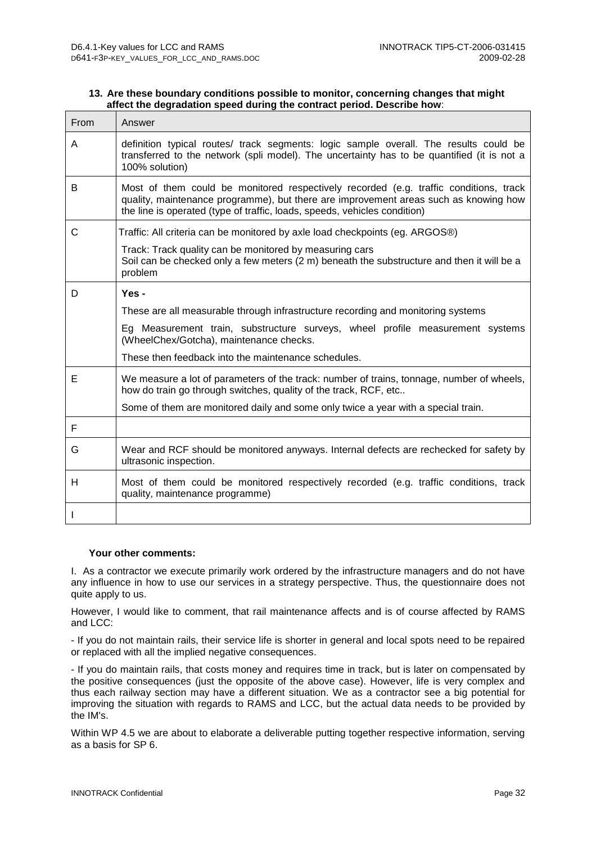| 13. Are these boundary conditions possible to monitor, concerning changes that might |  |
|--------------------------------------------------------------------------------------|--|
| affect the degradation speed during the contract period. Describe how:               |  |

| From | Answer                                                                                                                                                                                                                                                     |  |  |  |  |
|------|------------------------------------------------------------------------------------------------------------------------------------------------------------------------------------------------------------------------------------------------------------|--|--|--|--|
| A    | definition typical routes/ track segments: logic sample overall. The results could be<br>transferred to the network (spli model). The uncertainty has to be quantified (it is not a<br>100% solution)                                                      |  |  |  |  |
| B    | Most of them could be monitored respectively recorded (e.g. traffic conditions, track<br>quality, maintenance programme), but there are improvement areas such as knowing how<br>the line is operated (type of traffic, loads, speeds, vehicles condition) |  |  |  |  |
| С    | Traffic: All criteria can be monitored by axle load checkpoints (eg. ARGOS®)                                                                                                                                                                               |  |  |  |  |
|      | Track: Track quality can be monitored by measuring cars<br>Soil can be checked only a few meters (2 m) beneath the substructure and then it will be a<br>problem                                                                                           |  |  |  |  |
| D    | Yes-                                                                                                                                                                                                                                                       |  |  |  |  |
|      | These are all measurable through infrastructure recording and monitoring systems                                                                                                                                                                           |  |  |  |  |
|      | Eg Measurement train, substructure surveys, wheel profile measurement systems<br>(WheelChex/Gotcha), maintenance checks.                                                                                                                                   |  |  |  |  |
|      | These then feedback into the maintenance schedules.                                                                                                                                                                                                        |  |  |  |  |
| Е    | We measure a lot of parameters of the track: number of trains, tonnage, number of wheels,<br>how do train go through switches, quality of the track, RCF, etc                                                                                              |  |  |  |  |
|      | Some of them are monitored daily and some only twice a year with a special train.                                                                                                                                                                          |  |  |  |  |
| F    |                                                                                                                                                                                                                                                            |  |  |  |  |
| G    | Wear and RCF should be monitored anyways. Internal defects are rechecked for safety by<br>ultrasonic inspection.                                                                                                                                           |  |  |  |  |
| H    | Most of them could be monitored respectively recorded (e.g. traffic conditions, track<br>quality, maintenance programme)                                                                                                                                   |  |  |  |  |
|      |                                                                                                                                                                                                                                                            |  |  |  |  |

#### **Your other comments:**

I. As a contractor we execute primarily work ordered by the infrastructure managers and do not have any influence in how to use our services in a strategy perspective. Thus, the questionnaire does not quite apply to us.

However, I would like to comment, that rail maintenance affects and is of course affected by RAMS and LCC:

- If you do not maintain rails, their service life is shorter in general and local spots need to be repaired or replaced with all the implied negative consequences.

- If you do maintain rails, that costs money and requires time in track, but is later on compensated by the positive consequences (just the opposite of the above case). However, life is very complex and thus each railway section may have a different situation. We as a contractor see a big potential for improving the situation with regards to RAMS and LCC, but the actual data needs to be provided by the IM's.

Within WP 4.5 we are about to elaborate a deliverable putting together respective information, serving as a basis for SP 6.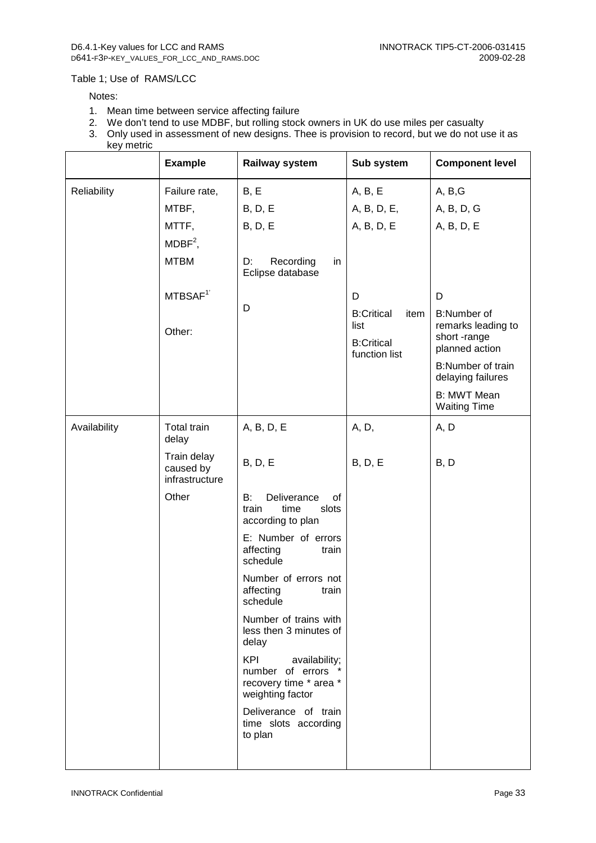#### Table 1; Use of RAMS/LCC

#### Notes:

- 1. Mean time between service affecting failure
- 2. We don't tend to use MDBF, but rolling stock owners in UK do use miles per casualty
- 3. Only used in assessment of new designs. Thee is provision to record, but we do not use it as key metric

|              | <b>Example</b>                             | Railway system                                                                                  | Sub system                                                              | <b>Component level</b>                                                    |
|--------------|--------------------------------------------|-------------------------------------------------------------------------------------------------|-------------------------------------------------------------------------|---------------------------------------------------------------------------|
| Reliability  | Failure rate,                              | B, E                                                                                            | A, B, E                                                                 | A, B,G                                                                    |
|              | MTBF,                                      | <b>B</b> , D, E                                                                                 | A, B, D, E,                                                             | A, B, D, G                                                                |
|              | MTTF,                                      | B, D, E                                                                                         | A, B, D, E                                                              | A, B, D, E                                                                |
|              | $MDBF2$ ,                                  |                                                                                                 |                                                                         |                                                                           |
|              | <b>MTBM</b>                                | D:<br>Recording<br>in<br>Eclipse database                                                       |                                                                         |                                                                           |
|              | MTBSAF <sup>1</sup>                        |                                                                                                 | D                                                                       | D                                                                         |
|              | Other:                                     | D                                                                                               | <b>B:Critical</b><br>item<br>list<br><b>B:Critical</b><br>function list | <b>B:Number of</b><br>remarks leading to<br>short-range<br>planned action |
|              |                                            |                                                                                                 |                                                                         | B:Number of train<br>delaying failures                                    |
|              |                                            |                                                                                                 |                                                                         | B: MWT Mean<br><b>Waiting Time</b>                                        |
| Availability | Total train<br>delay                       | A, B, D, E                                                                                      | A, D,                                                                   | A, D                                                                      |
|              | Train delay<br>caused by<br>infrastructure | <b>B</b> , D, E                                                                                 | B, D, E                                                                 | B, D                                                                      |
|              | Other                                      | Deliverance<br>B:<br>οf<br>time<br>train<br>slots<br>according to plan                          |                                                                         |                                                                           |
|              |                                            | E: Number of errors<br>affecting<br>train<br>schedule                                           |                                                                         |                                                                           |
|              |                                            | Number of errors not<br>affecting<br>train<br>schedule                                          |                                                                         |                                                                           |
|              |                                            | Number of trains with<br>less then 3 minutes of<br>delay                                        |                                                                         |                                                                           |
|              |                                            | <b>KPI</b><br>availability;<br>number of errors *<br>recovery time * area *<br>weighting factor |                                                                         |                                                                           |
|              |                                            | Deliverance of train<br>time slots according<br>to plan                                         |                                                                         |                                                                           |
|              |                                            |                                                                                                 |                                                                         |                                                                           |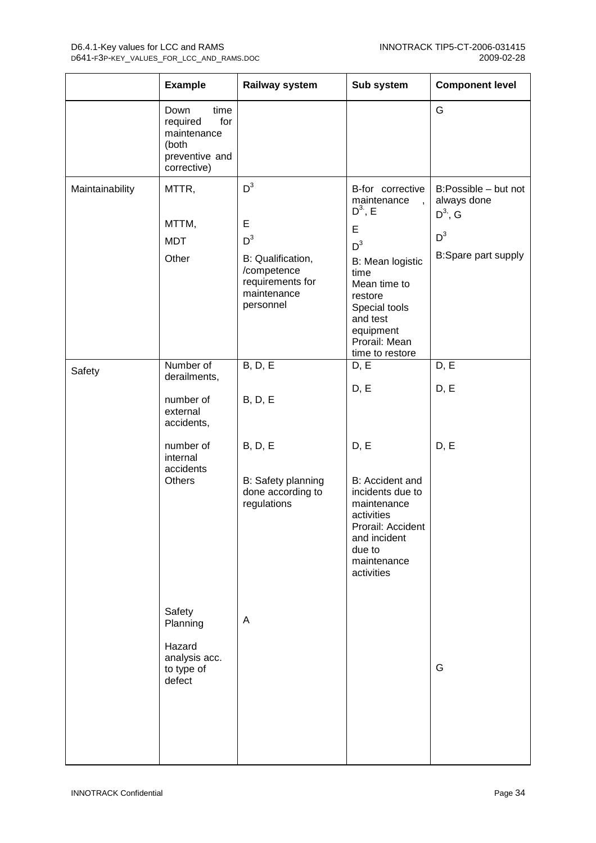|                 | <b>Example</b>                                                                           | Railway system                                                                                          | Sub system                                                                                                                                                                   | <b>Component level</b>                                                                    |
|-----------------|------------------------------------------------------------------------------------------|---------------------------------------------------------------------------------------------------------|------------------------------------------------------------------------------------------------------------------------------------------------------------------------------|-------------------------------------------------------------------------------------------|
|                 | Down<br>time<br>for<br>required<br>maintenance<br>(both<br>preventive and<br>corrective) |                                                                                                         |                                                                                                                                                                              | G                                                                                         |
| Maintainability | MTTR,<br>MTTM,<br><b>MDT</b><br>Other                                                    | $D^3$<br>E<br>$D^3$<br>B: Qualification,<br>/competence<br>requirements for<br>maintenance<br>personnel | B-for corrective<br>maintenance<br>$D^3$ , E<br>E<br>$D^3$<br>B: Mean logistic<br>time<br>Mean time to<br>restore<br>Special tools<br>and test<br>equipment<br>Prorail: Mean | B:Possible - but not<br>always done<br>$D^{3}$ , G<br>$D^3$<br><b>B:Spare part supply</b> |
| Safety          | Number of<br>derailments,<br>number of<br>external<br>accidents,                         | <b>B</b> , D, E<br><b>B</b> , D, E                                                                      | time to restore<br>D, E<br>D, E                                                                                                                                              | D, E<br>D, E                                                                              |
|                 | number of<br>internal<br>accidents<br>Others                                             | <b>B</b> , D, E<br>B: Safety planning<br>done according to<br>regulations                               | D, E<br>B: Accident and<br>incidents due to<br>maintenance<br>activities<br>Prorail: Accident<br>and incident<br>due to<br>maintenance<br>activities                         | D, E                                                                                      |
|                 | Safety<br>Planning<br>Hazard<br>analysis acc.<br>to type of<br>defect                    | A                                                                                                       |                                                                                                                                                                              | G                                                                                         |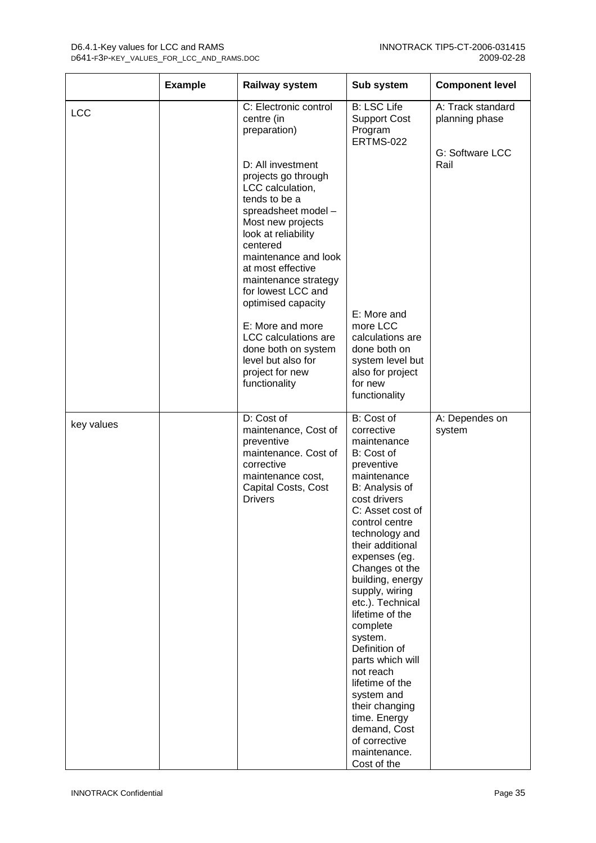|            | <b>Example</b> | <b>Railway system</b>                                                                                                                                                                                                                                                         | Sub system                                                                                                                                                                                                                                                                                                                                                                                                                                                                                                                   | <b>Component level</b>              |
|------------|----------------|-------------------------------------------------------------------------------------------------------------------------------------------------------------------------------------------------------------------------------------------------------------------------------|------------------------------------------------------------------------------------------------------------------------------------------------------------------------------------------------------------------------------------------------------------------------------------------------------------------------------------------------------------------------------------------------------------------------------------------------------------------------------------------------------------------------------|-------------------------------------|
| LCC        |                | C: Electronic control<br>centre (in<br>preparation)                                                                                                                                                                                                                           | <b>B: LSC Life</b><br><b>Support Cost</b><br>Program<br><b>ERTMS-022</b>                                                                                                                                                                                                                                                                                                                                                                                                                                                     | A: Track standard<br>planning phase |
|            |                | D: All investment<br>projects go through<br>LCC calculation,<br>tends to be a<br>spreadsheet model -<br>Most new projects<br>look at reliability<br>centered<br>maintenance and look<br>at most effective<br>maintenance strategy<br>for lowest LCC and<br>optimised capacity |                                                                                                                                                                                                                                                                                                                                                                                                                                                                                                                              | G: Software LCC<br>Rail             |
|            |                | E: More and more<br>LCC calculations are<br>done both on system<br>level but also for<br>project for new<br>functionality                                                                                                                                                     | E: More and<br>more LCC<br>calculations are<br>done both on<br>system level but<br>also for project<br>for new<br>functionality                                                                                                                                                                                                                                                                                                                                                                                              |                                     |
| key values |                | D: Cost of<br>maintenance, Cost of<br>preventive<br>maintenance. Cost of<br>corrective<br>maintenance cost,<br>Capital Costs, Cost<br><b>Drivers</b>                                                                                                                          | B: Cost of<br>corrective<br>maintenance<br>B: Cost of<br>preventive<br>maintenance<br>B: Analysis of<br>cost drivers<br>C: Asset cost of<br>control centre<br>technology and<br>their additional<br>expenses (eg.<br>Changes ot the<br>building, energy<br>supply, wiring<br>etc.). Technical<br>lifetime of the<br>complete<br>system.<br>Definition of<br>parts which will<br>not reach<br>lifetime of the<br>system and<br>their changing<br>time. Energy<br>demand, Cost<br>of corrective<br>maintenance.<br>Cost of the | A: Dependes on<br>system            |